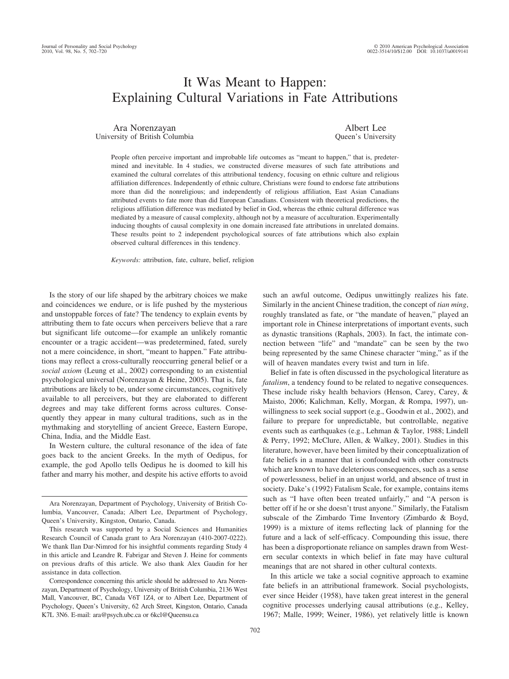# It Was Meant to Happen: Explaining Cultural Variations in Fate Attributions

Ara Norenzayan University of British Columbia

Albert Lee Queen's University

People often perceive important and improbable life outcomes as "meant to happen," that is, predetermined and inevitable. In 4 studies, we constructed diverse measures of such fate attributions and examined the cultural correlates of this attributional tendency, focusing on ethnic culture and religious affiliation differences. Independently of ethnic culture, Christians were found to endorse fate attributions more than did the nonreligious; and independently of religious affiliation, East Asian Canadians attributed events to fate more than did European Canadians. Consistent with theoretical predictions, the religious affiliation difference was mediated by belief in God, whereas the ethnic cultural difference was mediated by a measure of causal complexity, although not by a measure of acculturation. Experimentally inducing thoughts of causal complexity in one domain increased fate attributions in unrelated domains. These results point to 2 independent psychological sources of fate attributions which also explain observed cultural differences in this tendency.

*Keywords:* attribution, fate, culture, belief, religion

Is the story of our life shaped by the arbitrary choices we make and coincidences we endure, or is life pushed by the mysterious and unstoppable forces of fate? The tendency to explain events by attributing them to fate occurs when perceivers believe that a rare but significant life outcome—for example an unlikely romantic encounter or a tragic accident—was predetermined, fated, surely not a mere coincidence, in short, "meant to happen." Fate attributions may reflect a cross-culturally reoccurring general belief or a *social axiom* (Leung et al., 2002) corresponding to an existential psychological universal (Norenzayan & Heine, 2005). That is, fate attributions are likely to be, under some circumstances, cognitively available to all perceivers, but they are elaborated to different degrees and may take different forms across cultures. Consequently they appear in many cultural traditions, such as in the mythmaking and storytelling of ancient Greece, Eastern Europe, China, India, and the Middle East.

In Western culture, the cultural resonance of the idea of fate goes back to the ancient Greeks. In the myth of Oedipus, for example, the god Apollo tells Oedipus he is doomed to kill his father and marry his mother, and despite his active efforts to avoid such an awful outcome, Oedipus unwittingly realizes his fate. Similarly in the ancient Chinese tradition, the concept of *tian ming*, roughly translated as fate, or "the mandate of heaven," played an important role in Chinese interpretations of important events, such as dynastic transitions (Raphals, 2003). In fact, the intimate connection between "life" and "mandate" can be seen by the two being represented by the same Chinese character "ming," as if the will of heaven mandates every twist and turn in life.

Belief in fate is often discussed in the psychological literature as *fatalism*, a tendency found to be related to negative consequences. These include risky health behaviors (Henson, Carey, Carey, & Maisto, 2006; Kalichman, Kelly, Morgan, & Rompa, 1997), unwillingness to seek social support (e.g., Goodwin et al., 2002), and failure to prepare for unpredictable, but controllable, negative events such as earthquakes (e.g., Lehman & Taylor, 1988; Lindell & Perry, 1992; McClure, Allen, & Walkey, 2001). Studies in this literature, however, have been limited by their conceptualization of fate beliefs in a manner that is confounded with other constructs which are known to have deleterious consequences, such as a sense of powerlessness, belief in an unjust world, and absence of trust in society. Dake's (1992) Fatalism Scale, for example, contains items such as "I have often been treated unfairly," and "A person is better off if he or she doesn't trust anyone." Similarly, the Fatalism subscale of the Zimbardo Time Inventory (Zimbardo & Boyd, 1999) is a mixture of items reflecting lack of planning for the future and a lack of self-efficacy. Compounding this issue, there has been a disproportionate reliance on samples drawn from Western secular contexts in which belief in fate may have cultural meanings that are not shared in other cultural contexts.

In this article we take a social cognitive approach to examine fate beliefs in an attributional framework. Social psychologists, ever since Heider (1958), have taken great interest in the general cognitive processes underlying causal attributions (e.g., Kelley, 1967; Malle, 1999; Weiner, 1986), yet relatively little is known

Ara Norenzayan, Department of Psychology, University of British Columbia, Vancouver, Canada; Albert Lee, Department of Psychology, Queen's University, Kingston, Ontario, Canada.

This research was supported by a Social Sciences and Humanities Research Council of Canada grant to Ara Norenzayan (410-2007-0222). We thank Ilan Dar-Nimrod for his insightful comments regarding Study 4 in this article and Leandre R. Fabrigar and Steven J. Heine for comments on previous drafts of this article. We also thank Alex Gaudin for her assistance in data collection.

Correspondence concerning this article should be addressed to Ara Norenzayan, Department of Psychology, University of British Columbia, 2136 West Mall, Vancouver, BC, Canada V6T 1Z4, or to Albert Lee, Department of Psychology, Queen's University, 62 Arch Street, Kingston, Ontario, Canada K7L 3N6. E-mail: ara@psych.ubc.ca or 6kcl@Queensu.ca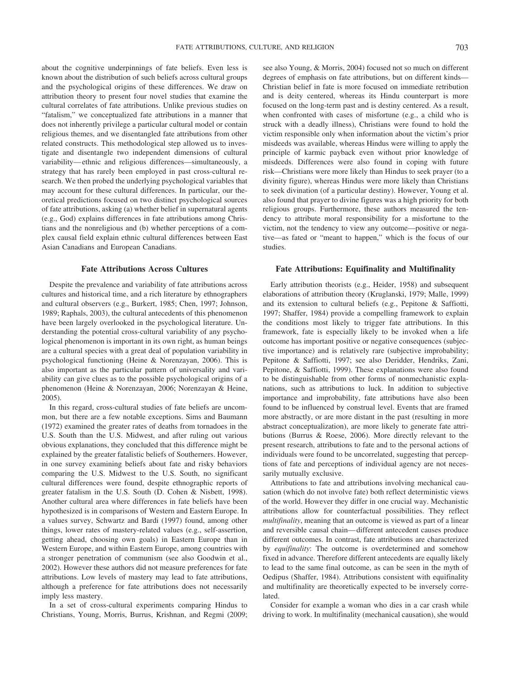about the cognitive underpinnings of fate beliefs. Even less is known about the distribution of such beliefs across cultural groups and the psychological origins of these differences. We draw on attribution theory to present four novel studies that examine the cultural correlates of fate attributions. Unlike previous studies on "fatalism," we conceptualized fate attributions in a manner that does not inherently privilege a particular cultural model or contain religious themes, and we disentangled fate attributions from other related constructs. This methodological step allowed us to investigate and disentangle two independent dimensions of cultural variability—ethnic and religious differences—simultaneously, a strategy that has rarely been employed in past cross-cultural research. We then probed the underlying psychological variables that may account for these cultural differences. In particular, our theoretical predictions focused on two distinct psychological sources of fate attributions, asking (a) whether belief in supernatural agents (e.g., God) explains differences in fate attributions among Christians and the nonreligious and (b) whether perceptions of a complex causal field explain ethnic cultural differences between East Asian Canadians and European Canadians.

# **Fate Attributions Across Cultures**

Despite the prevalence and variability of fate attributions across cultures and historical time, and a rich literature by ethnographers and cultural observers (e.g., Burkert, 1985; Chen, 1997; Johnson, 1989; Raphals, 2003), the cultural antecedents of this phenomenon have been largely overlooked in the psychological literature. Understanding the potential cross-cultural variability of any psychological phenomenon is important in its own right, as human beings are a cultural species with a great deal of population variability in psychological functioning (Heine & Norenzayan, 2006). This is also important as the particular pattern of universality and variability can give clues as to the possible psychological origins of a phenomenon (Heine & Norenzayan, 2006; Norenzayan & Heine, 2005).

In this regard, cross-cultural studies of fate beliefs are uncommon, but there are a few notable exceptions. Sims and Baumann (1972) examined the greater rates of deaths from tornadoes in the U.S. South than the U.S. Midwest, and after ruling out various obvious explanations, they concluded that this difference might be explained by the greater fatalistic beliefs of Southerners. However, in one survey examining beliefs about fate and risky behaviors comparing the U.S. Midwest to the U.S. South, no significant cultural differences were found, despite ethnographic reports of greater fatalism in the U.S. South (D. Cohen & Nisbett, 1998). Another cultural area where differences in fate beliefs have been hypothesized is in comparisons of Western and Eastern Europe. In a values survey, Schwartz and Bardi (1997) found, among other things, lower rates of mastery-related values (e.g., self-assertion, getting ahead, choosing own goals) in Eastern Europe than in Western Europe, and within Eastern Europe, among countries with a stronger penetration of communism (see also Goodwin et al., 2002). However these authors did not measure preferences for fate attributions. Low levels of mastery may lead to fate attributions, although a preference for fate attributions does not necessarily imply less mastery.

In a set of cross-cultural experiments comparing Hindus to Christians, Young, Morris, Burrus, Krishnan, and Regmi (2009; see also Young, & Morris, 2004) focused not so much on different degrees of emphasis on fate attributions, but on different kinds— Christian belief in fate is more focused on immediate retribution and is deity centered, whereas its Hindu counterpart is more focused on the long-term past and is destiny centered. As a result, when confronted with cases of misfortune (e.g., a child who is struck with a deadly illness), Christians were found to hold the victim responsible only when information about the victim's prior misdeeds was available, whereas Hindus were willing to apply the principle of karmic payback even without prior knowledge of misdeeds. Differences were also found in coping with future risk—Christians were more likely than Hindus to seek prayer (to a divinity figure), whereas Hindus were more likely than Christians to seek divination (of a particular destiny). However, Young et al. also found that prayer to divine figures was a high priority for both religious groups. Furthermore, these authors measured the tendency to attribute moral responsibility for a misfortune to the victim, not the tendency to view any outcome—positive or negative—as fated or "meant to happen," which is the focus of our studies.

# **Fate Attributions: Equifinality and Multifinality**

Early attribution theorists (e.g., Heider, 1958) and subsequent elaborations of attribution theory (Kruglanski, 1979; Malle, 1999) and its extension to cultural beliefs (e.g., Pepitone & Saffiotti, 1997; Shaffer, 1984) provide a compelling framework to explain the conditions most likely to trigger fate attributions. In this framework, fate is especially likely to be invoked when a life outcome has important positive or negative consequences (subjective importance) and is relatively rare (subjective improbability; Pepitone & Saffiotti, 1997; see also Deridder, Hendriks, Zani, Pepitone, & Saffiotti, 1999). These explanations were also found to be distinguishable from other forms of nonmechanistic explanations, such as attributions to luck. In addition to subjective importance and improbability, fate attributions have also been found to be influenced by construal level. Events that are framed more abstractly, or are more distant in the past (resulting in more abstract conceptualization), are more likely to generate fate attributions (Burrus & Roese, 2006). More directly relevant to the present research, attributions to fate and to the personal actions of individuals were found to be uncorrelated, suggesting that perceptions of fate and perceptions of individual agency are not necessarily mutually exclusive.

Attributions to fate and attributions involving mechanical causation (which do not involve fate) both reflect deterministic views of the world. However they differ in one crucial way. Mechanistic attributions allow for counterfactual possibilities. They reflect *multifinality*, meaning that an outcome is viewed as part of a linear and reversible causal chain—different antecedent causes produce different outcomes. In contrast, fate attributions are characterized by *equifinality*: The outcome is overdetermined and somehow fixed in advance. Therefore different antecedents are equally likely to lead to the same final outcome, as can be seen in the myth of Oedipus (Shaffer, 1984). Attributions consistent with equifinality and multifinality are theoretically expected to be inversely correlated.

Consider for example a woman who dies in a car crash while driving to work. In multifinality (mechanical causation), she would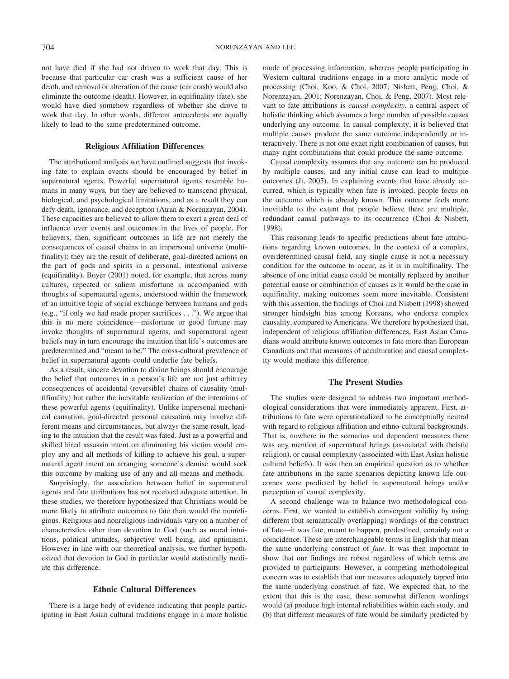not have died if she had not driven to work that day. This is because that particular car crash was a sufficient cause of her death, and removal or alteration of the cause (car crash) would also eliminate the outcome (death). However, in equifinality (fate), she would have died somehow regardless of whether she drove to work that day. In other words, different antecedents are equally likely to lead to the same predetermined outcome.

# **Religious Affiliation Differences**

The attributional analysis we have outlined suggests that invoking fate to explain events should be encouraged by belief in supernatural agents. Powerful supernatural agents resemble humans in many ways, but they are believed to transcend physical, biological, and psychological limitations, and as a result they can defy death, ignorance, and deception (Atran & Norenzayan, 2004). These capacities are believed to allow them to exert a great deal of influence over events and outcomes in the lives of people. For believers, then, significant outcomes in life are not merely the consequences of causal chains in an impersonal universe (multifinality); they are the result of deliberate, goal-directed actions on the part of gods and spirits in a personal, intentional universe (equifinality). Boyer (2001) noted, for example, that across many cultures, repeated or salient misfortune is accompanied with thoughts of supernatural agents, understood within the framework of an intuitive logic of social exchange between humans and gods (e.g., "if only we had made proper sacrifices . . ."). We argue that this is no mere coincidence—misfortune or good fortune may invoke thoughts of supernatural agents, and supernatural agent beliefs may in turn encourage the intuition that life's outcomes are predetermined and "meant to be." The cross-cultural prevalence of belief in supernatural agents could underlie fate beliefs.

As a result, sincere devotion to divine beings should encourage the belief that outcomes in a person's life are not just arbitrary consequences of accidental (reversible) chains of causality (multifinality) but rather the inevitable realization of the intentions of these powerful agents (equifinality). Unlike impersonal mechanical causation, goal-directed personal causation may involve different means and circumstances, but always the same result, leading to the intuition that the result was fated. Just as a powerful and skilled hired assassin intent on eliminating his victim would employ any and all methods of killing to achieve his goal, a supernatural agent intent on arranging someone's demise would seek this outcome by making use of any and all means and methods.

Surprisingly, the association between belief in supernatural agents and fate attributions has not received adequate attention. In these studies, we therefore hypothesized that Christians would be more likely to attribute outcomes to fate than would the nonreligious. Religious and nonreligious individuals vary on a number of characteristics other than devotion to God (such as moral intuitions, political attitudes, subjective well being, and optimism). However in line with our theoretical analysis, we further hypothesized that devotion to God in particular would statistically mediate this difference.

# **Ethnic Cultural Differences**

There is a large body of evidence indicating that people participating in East Asian cultural traditions engage in a more holistic mode of processing information, whereas people participating in Western cultural traditions engage in a more analytic mode of processing (Choi, Koo, & Choi, 2007; Nisbett, Peng, Choi, & Norenzayan, 2001; Norenzayan, Choi, & Peng, 2007). Most relevant to fate attributions is *causal complexity*, a central aspect of holistic thinking which assumes a large number of possible causes underlying any outcome. In causal complexity, it is believed that multiple causes produce the same outcome independently or interactively. There is not one exact right combination of causes, but many right combinations that could produce the same outcome.

Causal complexity assumes that any outcome can be produced by multiple causes, and any initial cause can lead to multiple outcomes (Ji, 2005). In explaining events that have already occurred, which is typically when fate is invoked, people focus on the outcome which is already known. This outcome feels more inevitable to the extent that people believe there are multiple, redundant causal pathways to its occurrence (Choi & Nisbett, 1998).

This reasoning leads to specific predictions about fate attributions regarding known outcomes. In the context of a complex, overdetermined causal field, any single cause is not a necessary condition for the outcome to occur, as it is in multifinality. The absence of one initial cause could be mentally replaced by another potential cause or combination of causes as it would be the case in equifinality, making outcomes seem more inevitable. Consistent with this assertion, the findings of Choi and Nisbett (1998) showed stronger hindsight bias among Koreans, who endorse complex causality, compared to Americans. We therefore hypothesized that, independent of religious affiliation differences, East Asian Canadians would attribute known outcomes to fate more than European Canadians and that measures of acculturation and causal complexity would mediate this difference.

# **The Present Studies**

The studies were designed to address two important methodological considerations that were immediately apparent. First, attributions to fate were operationalized to be conceptually neutral with regard to religious affiliation and ethno-cultural backgrounds. That is, nowhere in the scenarios and dependent measures there was any mention of supernatural beings (associated with theistic religion), or causal complexity (associated with East Asian holistic cultural beliefs). It was then an empirical question as to whether fate attributions in the same scenarios depicting known life outcomes were predicted by belief in supernatural beings and/or perception of causal complexity.

A second challenge was to balance two methodological concerns. First, we wanted to establish convergent validity by using different (but semantically overlapping) wordings of the construct of fate—it was fate, meant to happen, predestined, certainly not a coincidence. These are interchangeable terms in English that mean the same underlying construct of *fate*. It was then important to show that our findings are robust regardless of which terms are provided to participants. However, a competing methodological concern was to establish that our measures adequately tapped into the same underlying construct of fate. We expected that, to the extent that this is the case, these somewhat different wordings would (a) produce high internal reliabilities within each study, and (b) that different measures of fate would be similarly predicted by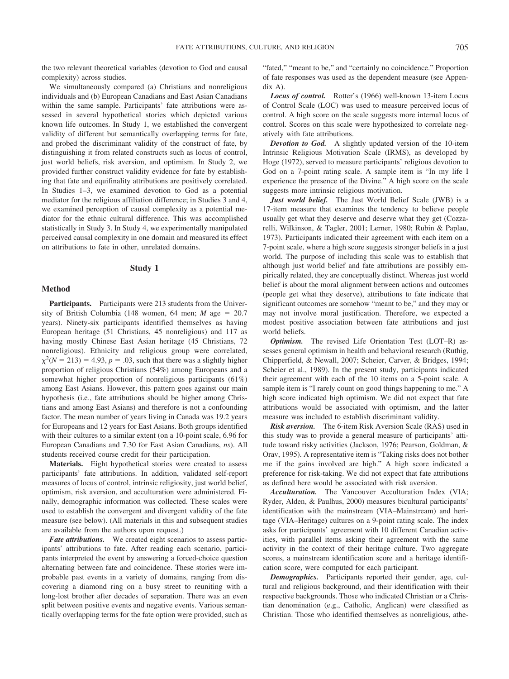the two relevant theoretical variables (devotion to God and causal complexity) across studies.

We simultaneously compared (a) Christians and nonreligious individuals and (b) European Canadians and East Asian Canadians within the same sample. Participants' fate attributions were assessed in several hypothetical stories which depicted various known life outcomes. In Study 1, we established the convergent validity of different but semantically overlapping terms for fate, and probed the discriminant validity of the construct of fate, by distinguishing it from related constructs such as locus of control, just world beliefs, risk aversion, and optimism. In Study 2, we provided further construct validity evidence for fate by establishing that fate and equifinality attributions are positively correlated. In Studies 1–3, we examined devotion to God as a potential mediator for the religious affiliation difference; in Studies 3 and 4, we examined perception of causal complexity as a potential mediator for the ethnic cultural difference. This was accomplished statistically in Study 3. In Study 4, we experimentally manipulated perceived causal complexity in one domain and measured its effect on attributions to fate in other, unrelated domains.

# **Study 1**

# **Method**

**Participants.** Participants were 213 students from the University of British Columbia (148 women, 64 men;  $M$  age = 20.7 years). Ninety-six participants identified themselves as having European heritage (51 Christians, 45 nonreligious) and 117 as having mostly Chinese East Asian heritage (45 Christians, 72 nonreligious). Ethnicity and religious group were correlated,  $\chi^2$ (N = 213) = 4.93, *p* = .03, such that there was a slightly higher proportion of religious Christians (54%) among Europeans and a somewhat higher proportion of nonreligious participants (61%) among East Asians. However, this pattern goes against our main hypothesis (i.e., fate attributions should be higher among Christians and among East Asians) and therefore is not a confounding factor. The mean number of years living in Canada was 19.2 years for Europeans and 12 years for East Asians. Both groups identified with their cultures to a similar extent (on a 10-point scale, 6.96 for European Canadians and 7.30 for East Asian Canadians, *ns*). All students received course credit for their participation.

**Materials.** Eight hypothetical stories were created to assess participants' fate attributions. In addition, validated self-report measures of locus of control, intrinsic religiosity, just world belief, optimism, risk aversion, and acculturation were administered. Finally, demographic information was collected. These scales were used to establish the convergent and divergent validity of the fate measure (see below). (All materials in this and subsequent studies are available from the authors upon request.)

*Fate attributions.* We created eight scenarios to assess participants' attributions to fate. After reading each scenario, participants interpreted the event by answering a forced-choice question alternating between fate and coincidence. These stories were improbable past events in a variety of domains, ranging from discovering a diamond ring on a busy street to reuniting with a long-lost brother after decades of separation. There was an even split between positive events and negative events. Various semantically overlapping terms for the fate option were provided, such as "fated," "meant to be," and "certainly no coincidence." Proportion of fate responses was used as the dependent measure (see Appendix A).

*Locus of control.* Rotter's (1966) well-known 13-item Locus of Control Scale (LOC) was used to measure perceived locus of control. A high score on the scale suggests more internal locus of control. Scores on this scale were hypothesized to correlate negatively with fate attributions.

*Devotion to God.* A slightly updated version of the 10-item Intrinsic Religious Motivation Scale (IRMS), as developed by Hoge (1972), served to measure participants' religious devotion to God on a 7-point rating scale. A sample item is "In my life I experience the presence of the Divine." A high score on the scale suggests more intrinsic religious motivation.

*Just world belief.* The Just World Belief Scale (JWB) is a 17-item measure that examines the tendency to believe people usually get what they deserve and deserve what they get (Cozzarelli, Wilkinson, & Tagler, 2001; Lerner, 1980; Rubin & Paplau, 1973). Participants indicated their agreement with each item on a 7-point scale, where a high score suggests stronger beliefs in a just world. The purpose of including this scale was to establish that although just world belief and fate attributions are possibly empirically related, they are conceptually distinct. Whereas just world belief is about the moral alignment between actions and outcomes (people get what they deserve), attributions to fate indicate that significant outcomes are somehow "meant to be," and they may or may not involve moral justification. Therefore, we expected a modest positive association between fate attributions and just world beliefs.

*Optimism.* The revised Life Orientation Test (LOT–R) assesses general optimism in health and behavioral research (Ruthig, Chipperfield, & Newall, 2007; Scheier, Carver, & Bridges, 1994; Scheier et al., 1989). In the present study, participants indicated their agreement with each of the 10 items on a 5-point scale. A sample item is "I rarely count on good things happening to me." A high score indicated high optimism. We did not expect that fate attributions would be associated with optimism, and the latter measure was included to establish discriminant validity.

*Risk aversion.* The 6-item Risk Aversion Scale (RAS) used in this study was to provide a general measure of participants' attitude toward risky activities (Jackson, 1976; Pearson, Goldman, & Orav, 1995). A representative item is "Taking risks does not bother me if the gains involved are high." A high score indicated a preference for risk-taking. We did not expect that fate attributions as defined here would be associated with risk aversion.

*Acculturation.* The Vancouver Acculturation Index (VIA; Ryder, Alden, & Paulhus, 2000) measures bicultural participants' identification with the mainstream (VIA–Mainstream) and heritage (VIA–Heritage) cultures on a 9-point rating scale. The index asks for participants' agreement with 10 different Canadian activities, with parallel items asking their agreement with the same activity in the context of their heritage culture. Two aggregate scores, a mainstream identification score and a heritage identification score, were computed for each participant.

*Demographics.* Participants reported their gender, age, cultural and religious background, and their identification with their respective backgrounds. Those who indicated Christian or a Christian denomination (e.g., Catholic, Anglican) were classified as Christian. Those who identified themselves as nonreligious, athe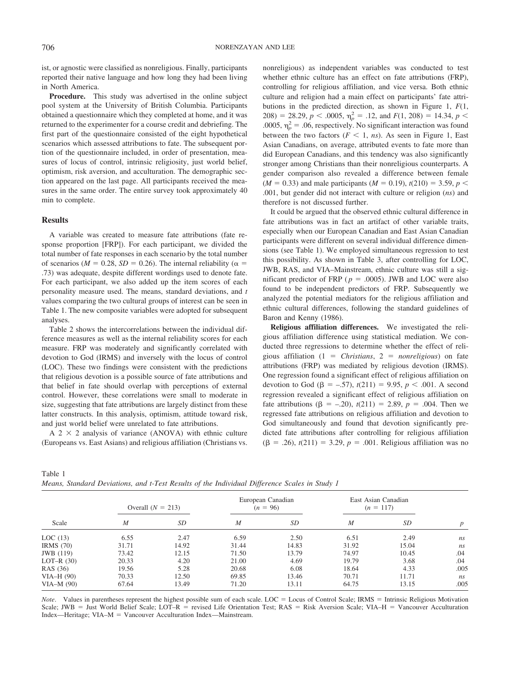ist, or agnostic were classified as nonreligious. Finally, participants reported their native language and how long they had been living in North America.

**Procedure.** This study was advertised in the online subject pool system at the University of British Columbia. Participants obtained a questionnaire which they completed at home, and it was returned to the experimenter for a course credit and debriefing. The first part of the questionnaire consisted of the eight hypothetical scenarios which assessed attributions to fate. The subsequent portion of the questionnaire included, in order of presentation, measures of locus of control, intrinsic religiosity, just world belief, optimism, risk aversion, and acculturation. The demographic section appeared on the last page. All participants received the measures in the same order. The entire survey took approximately 40 min to complete.

# **Results**

A variable was created to measure fate attributions (fate response proportion [FRP]). For each participant, we divided the total number of fate responses in each scenario by the total number of scenarios ( $M = 0.28$ ,  $SD = 0.26$ ). The internal reliability ( $\alpha =$ .73) was adequate, despite different wordings used to denote fate. For each participant, we also added up the item scores of each personality measure used. The means, standard deviations, and *t* values comparing the two cultural groups of interest can be seen in Table 1. The new composite variables were adopted for subsequent analyses.

Table 2 shows the intercorrelations between the individual difference measures as well as the internal reliability scores for each measure. FRP was moderately and significantly correlated with devotion to God (IRMS) and inversely with the locus of control (LOC). These two findings were consistent with the predictions that religious devotion is a possible source of fate attributions and that belief in fate should overlap with perceptions of external control. However, these correlations were small to moderate in size, suggesting that fate attributions are largely distinct from these latter constructs. In this analysis, optimism, attitude toward risk, and just world belief were unrelated to fate attributions.

A 2  $\times$  2 analysis of variance (ANOVA) with ethnic culture (Europeans vs. East Asians) and religious affiliation (Christians vs.

nonreligious) as independent variables was conducted to test whether ethnic culture has an effect on fate attributions (FRP), controlling for religious affiliation, and vice versa. Both ethnic culture and religion had a main effect on participants' fate attributions in the predicted direction, as shown in Figure 1, *F*(1, 208) = 28.29,  $p < .0005$ ,  $\eta_p^2 = .12$ , and  $F(1, 208) = 14.34$ ,  $p <$ .0005,  $\eta_p^2$  = .06, respectively. No significant interaction was found between the two factors  $(F < 1, ns)$ . As seen in Figure 1, East Asian Canadians, on average, attributed events to fate more than did European Canadians, and this tendency was also significantly stronger among Christians than their nonreligious counterparts. A gender comparison also revealed a difference between female  $(M = 0.33)$  and male participants  $(M = 0.19)$ ,  $t(210) = 3.59$ ,  $p <$ .001, but gender did not interact with culture or religion (*ns*) and therefore is not discussed further.

It could be argued that the observed ethnic cultural difference in fate attributions was in fact an artifact of other variable traits, especially when our European Canadian and East Asian Canadian participants were different on several individual difference dimensions (see Table 1). We employed simultaneous regression to test this possibility. As shown in Table 3, after controlling for LOC, JWB, RAS, and VIA–Mainstream, ethnic culture was still a significant predictor of FRP ( $p = .0005$ ). JWB and LOC were also found to be independent predictors of FRP. Subsequently we analyzed the potential mediators for the religious affiliation and ethnic cultural differences, following the standard guidelines of Baron and Kenny (1986).

**Religious affiliation differences.** We investigated the religious affiliation difference using statistical mediation. We conducted three regressions to determine whether the effect of religious affiliation (1 *Christians*, 2 *nonreligious*) on fate attributions (FRP) was mediated by religious devotion (IRMS). One regression found a significant effect of religious affiliation on devotion to God ( $\beta$  = -.57),  $t(211)$  = 9.95,  $p < .001$ . A second regression revealed a significant effect of religious affiliation on fate attributions ( $\beta$  = -.20),  $t(211)$  = 2.89,  $p$  = .004. Then we regressed fate attributions on religious affiliation and devotion to God simultaneously and found that devotion significantly predicted fate attributions after controlling for religious affiliation  $(\beta = .26)$ ,  $t(211) = 3.29$ ,  $p = .001$ . Religious affiliation was no

| Table 1 |                                                                                               |  |  |  |  |  |
|---------|-----------------------------------------------------------------------------------------------|--|--|--|--|--|
|         | Means, Standard Deviations, and t-Test Results of the Individual Difference Scales in Study 1 |  |  |  |  |  |

| Scale            |                | Overall $(N = 213)$ |                  | European Canadian<br>$(n = 96)$ | East Asian Canadian<br>$(n = 117)$ |       |      |
|------------------|----------------|---------------------|------------------|---------------------------------|------------------------------------|-------|------|
|                  | $\overline{M}$ | SD                  | $\boldsymbol{M}$ | SD                              | $\boldsymbol{M}$                   | SD    | p    |
| LOC(13)          | 6.55           | 2.47                | 6.59             | 2.50                            | 6.51                               | 2.49  | ns   |
| <b>IRMS</b> (70) | 31.71          | 14.92               | 31.44            | 14.83                           | 31.92                              | 15.04 | ns   |
| JWB (119)        | 73.42          | 12.15               | 71.50            | 13.79                           | 74.97                              | 10.45 | .04  |
| LOT-R $(30)$     | 20.33          | 4.20                | 21.00            | 4.69                            | 19.79                              | 3.68  | .04  |
| RAS (36)         | 19.56          | 5.28                | 20.68            | 6.08                            | 18.64                              | 4.33  | .005 |
| $VIA-H (90)$     | 70.33          | 12.50               | 69.85            | 13.46                           | 70.71                              | 11.71 | ns   |
| VIA $-M(90)$     | 67.64          | 13.49               | 71.20            | 13.11                           | 64.75                              | 13.15 | .005 |

*Note*. Values in parentheses represent the highest possible sum of each scale. LOC = Locus of Control Scale; IRMS = Intrinsic Religious Motivation Scale; JWB = Just World Belief Scale; LOT-R = revised Life Orientation Test; RAS = Risk Aversion Scale; VIA–H = Vancouver Acculturation Index—Heritage; VIA–M = Vancouver Acculturation Index—Mainstream.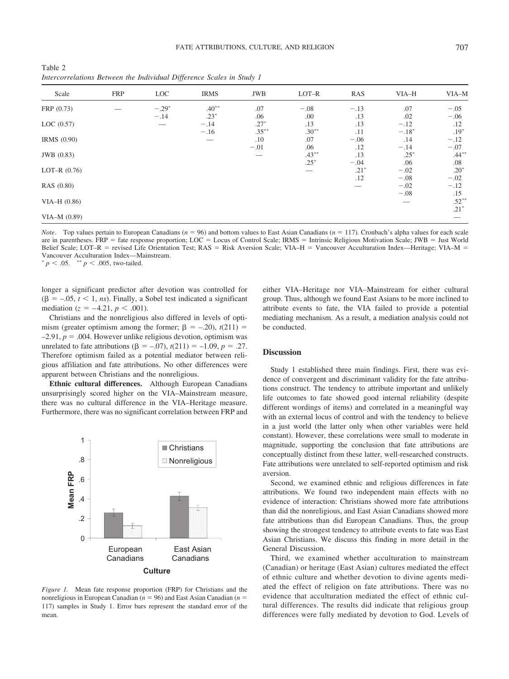Table 2 *Intercorrelations Between the Individual Difference Scales in Study 1*

| Scale              | <b>FRP</b> | <b>LOC</b> | <b>IRMS</b> | <b>JWB</b> | LOT-R    | <b>RAS</b> | VIA-H   | VIA-M     |
|--------------------|------------|------------|-------------|------------|----------|------------|---------|-----------|
| FRP (0.73)         |            | $-.29*$    | $.40***$    | .07        | $-.08$   | $-.13$     | .07     | $-.05$    |
|                    |            | $-.14$     | $.23*$      | .06        | .00      | .13        | .02     | $-.06$    |
| LOC(0.57)          |            |            | $-.14$      | $.27*$     | .13      | .13        | $-.12$  | .12       |
|                    |            |            | $-.16$      | $.35***$   | $.30***$ | .11        | $-.18*$ | $.19*$    |
| <b>IRMS</b> (0.90) |            |            |             | .10        | .07      | $-.06$     | .14     | $-.12$    |
|                    |            |            |             | $-.01$     | .06      | .12        | $-.14$  | $-.07$    |
| JWB (0.83)         |            |            |             | __         | $.43***$ | .13        | $.25*$  | $.44**$   |
|                    |            |            |             |            | $.25*$   | $-.04$     | .06     | .08       |
| LOT-R $(0.76)$     |            |            |             |            |          | $.21*$     | $-.02$  | $.20*$    |
|                    |            |            |             |            |          | .12        | $-.08$  | $-.02$    |
| RAS (0.80)         |            |            |             |            |          |            | $-.02$  | $-.12$    |
|                    |            |            |             |            |          |            | $-.08$  | .15       |
| $VIA-H (0.86)$     |            |            |             |            |          |            |         | $.52^{*}$ |
|                    |            |            |             |            |          |            |         | $.21*$    |
| $VIA-M (0.89)$     |            |            |             |            |          |            |         |           |
|                    |            |            |             |            |          |            |         |           |

*Note*. Top values pertain to European Canadians ( $n = 96$ ) and bottom values to East Asian Canadians ( $n = 117$ ). Cronbach's alpha values for each scale are in parentheses. FRP = fate response proportion; LOC = Locus of Control Scale; IRMS = Intrinsic Religious Motivation Scale; JWB = Just World Belief Scale; LOT-R = revised Life Orientation Test; RAS = Risk Aversion Scale; VIA–H = Vancouver Acculturation Index—Heritage; VIA–M = Vancouver Acculturation Index—Mainstream.<br>
\*  $p < .05$ . \*\*  $p < .005$ , two-tailed.

 $p < .005$ , two-tailed.

longer a significant predictor after devotion was controlled for  $(\beta = -.05, t < 1, ns)$ . Finally, a Sobel test indicated a significant mediation ( $z = -4.21$ ,  $p < .001$ ).

Christians and the nonreligious also differed in levels of optimism (greater optimism among the former;  $\beta = -.20$ ),  $t(211) =$  $-2.91, p = .004$ . However unlike religious devotion, optimism was unrelated to fate attributions  $(\beta = -.07)$ ,  $t(211) = -1.09$ ,  $p = .27$ . Therefore optimism failed as a potential mediator between religious affiliation and fate attributions. No other differences were apparent between Christians and the nonreligious.

**Ethnic cultural differences.** Although European Canadians unsurprisingly scored higher on the VIA–Mainstream measure, there was no cultural difference in the VIA–Heritage measure. Furthermore, there was no significant correlation between FRP and



*Figure 1.* Mean fate response proportion (FRP) for Christians and the nonreligious in European Canadian ( $n = 96$ ) and East Asian Canadian ( $n =$ 117) samples in Study 1. Error bars represent the standard error of the mean.

either VIA–Heritage nor VIA–Mainstream for either cultural group. Thus, although we found East Asians to be more inclined to attribute events to fate, the VIA failed to provide a potential mediating mechanism. As a result, a mediation analysis could not be conducted.

# **Discussion**

Study 1 established three main findings. First, there was evidence of convergent and discriminant validity for the fate attributions construct. The tendency to attribute important and unlikely life outcomes to fate showed good internal reliability (despite different wordings of items) and correlated in a meaningful way with an external locus of control and with the tendency to believe in a just world (the latter only when other variables were held constant). However, these correlations were small to moderate in magnitude, supporting the conclusion that fate attributions are conceptually distinct from these latter, well-researched constructs. Fate attributions were unrelated to self-reported optimism and risk aversion.

Second, we examined ethnic and religious differences in fate attributions. We found two independent main effects with no evidence of interaction: Christians showed more fate attributions than did the nonreligious, and East Asian Canadians showed more fate attributions than did European Canadians. Thus, the group showing the strongest tendency to attribute events to fate was East Asian Christians. We discuss this finding in more detail in the General Discussion.

Third, we examined whether acculturation to mainstream (Canadian) or heritage (East Asian) cultures mediated the effect of ethnic culture and whether devotion to divine agents mediated the effect of religion on fate attributions. There was no evidence that acculturation mediated the effect of ethnic cultural differences. The results did indicate that religious group differences were fully mediated by devotion to God. Levels of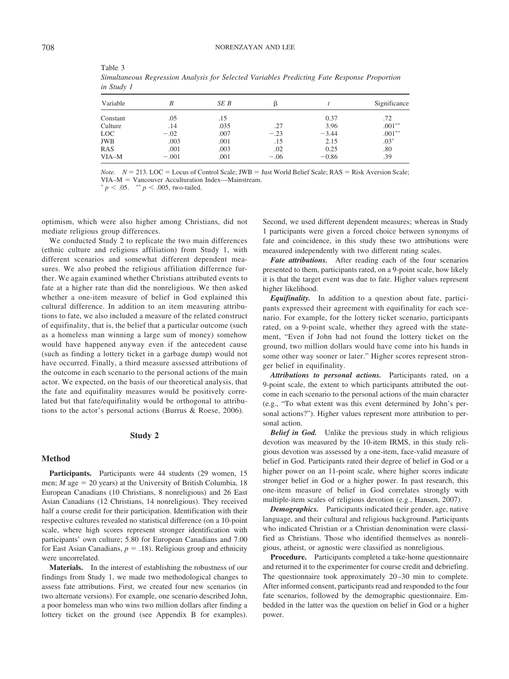| Variable | B       | SE B |        |         | Significance |
|----------|---------|------|--------|---------|--------------|
| Constant | .05     | .15  |        | 0.37    | .72          |
| Culture  | .14     | .035 | .27    | 3.96    | $.001***$    |
| LOC-     | $-.02$  | .007 | $-.23$ | $-3.44$ | $.001***$    |
| JWB      | .003    | .001 | .15    | 2.15    | $.03*$       |
| RAS      | .001    | .003 | .02    | 0.25    | .80          |
| VIA-M    | $-.001$ | .001 | $-.06$ | $-0.86$ | .39          |
|          |         |      |        |         |              |

*Simultaneous Regression Analysis for Selected Variables Predicting Fate Response Proportion in Study 1*

*Note.*  $N = 213$ . LOC = Locus of Control Scale; JWB = Just World Belief Scale; RAS = Risk Aversion Scale; VIA–M = Vancouver Acculturation Index—Mainstream.  $p < .05$ . *p*  $p < .005$ , two-tailed.

Table 3

optimism, which were also higher among Christians, did not mediate religious group differences.

We conducted Study 2 to replicate the two main differences (ethnic culture and religious affiliation) from Study 1, with different scenarios and somewhat different dependent measures. We also probed the religious affiliation difference further. We again examined whether Christians attributed events to fate at a higher rate than did the nonreligious. We then asked whether a one-item measure of belief in God explained this cultural difference. In addition to an item measuring attributions to fate, we also included a measure of the related construct of equifinality, that is, the belief that a particular outcome (such as a homeless man winning a large sum of money) somehow would have happened anyway even if the antecedent cause (such as finding a lottery ticket in a garbage dump) would not have occurred. Finally, a third measure assessed attributions of the outcome in each scenario to the personal actions of the main actor. We expected, on the basis of our theoretical analysis, that the fate and equifinality measures would be positively correlated but that fate/equifinality would be orthogonal to attributions to the actor's personal actions (Burrus & Roese, 2006).

#### **Study 2**

# **Method**

Participants. Participants were 44 students (29 women, 15 men;  $M$  age  $= 20$  years) at the University of British Columbia, 18 European Canadians (10 Christians, 8 nonreligious) and 26 East Asian Canadians (12 Christians, 14 nonreligious). They received half a course credit for their participation. Identification with their respective cultures revealed no statistical difference (on a 10-point scale, where high scores represent stronger identification with participants' own culture; 5.80 for European Canadians and 7.00 for East Asian Canadians,  $p = .18$ ). Religious group and ethnicity were uncorrelated.

**Materials.** In the interest of establishing the robustness of our findings from Study 1, we made two methodological changes to assess fate attributions. First, we created four new scenarios (in two alternate versions). For example, one scenario described John, a poor homeless man who wins two million dollars after finding a lottery ticket on the ground (see Appendix B for examples).

Second, we used different dependent measures; whereas in Study 1 participants were given a forced choice between synonyms of fate and coincidence, in this study these two attributions were measured independently with two different rating scales.

*Fate attributions.* After reading each of the four scenarios presented to them, participants rated, on a 9-point scale, how likely it is that the target event was due to fate. Higher values represent higher likelihood.

*Equifinality.* In addition to a question about fate, participants expressed their agreement with equifinality for each scenario. For example, for the lottery ticket scenario, participants rated, on a 9-point scale, whether they agreed with the statement, "Even if John had not found the lottery ticket on the ground, two million dollars would have come into his hands in some other way sooner or later." Higher scores represent stronger belief in equifinality.

*Attributions to personal actions.* Participants rated, on a 9-point scale, the extent to which participants attributed the outcome in each scenario to the personal actions of the main character (e.g., "To what extent was this event determined by John's personal actions?"). Higher values represent more attribution to personal action.

*Belief in God.* Unlike the previous study in which religious devotion was measured by the 10-item IRMS, in this study religious devotion was assessed by a one-item, face-valid measure of belief in God. Participants rated their degree of belief in God or a higher power on an 11-point scale, where higher scores indicate stronger belief in God or a higher power. In past research, this one-item measure of belief in God correlates strongly with multiple-item scales of religious devotion (e.g., Hansen, 2007).

*Demographics.* Participants indicated their gender, age, native language, and their cultural and religious background. Participants who indicated Christian or a Christian denomination were classified as Christians. Those who identified themselves as nonreligious, atheist, or agnostic were classified as nonreligious.

**Procedure.** Participants completed a take-home questionnaire and returned it to the experimenter for course credit and debriefing. The questionnaire took approximately 20–30 min to complete. After informed consent, participants read and responded to the four fate scenarios, followed by the demographic questionnaire. Embedded in the latter was the question on belief in God or a higher power.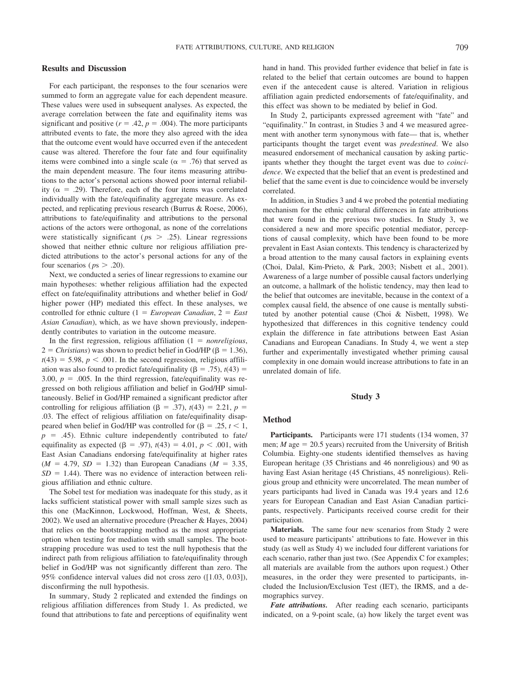#### FATE ATTRIBUTIONS, CULTURE, AND RELIGION 709

# **Results and Discussion**

For each participant, the responses to the four scenarios were summed to form an aggregate value for each dependent measure. These values were used in subsequent analyses. As expected, the average correlation between the fate and equifinality items was significant and positive ( $r = .42$ ,  $p = .004$ ). The more participants attributed events to fate, the more they also agreed with the idea that the outcome event would have occurred even if the antecedent cause was altered. Therefore the four fate and four equifinality items were combined into a single scale ( $\alpha = .76$ ) that served as the main dependent measure. The four items measuring attributions to the actor's personal actions showed poor internal reliability ( $\alpha$  = .29). Therefore, each of the four items was correlated individually with the fate/equifinality aggregate measure. As expected, and replicating previous research (Burrus & Roese, 2006), attributions to fate/equifinality and attributions to the personal actions of the actors were orthogonal, as none of the correlations were statistically significant ( $p_s$   $>$  .25). Linear regressions showed that neither ethnic culture nor religious affiliation predicted attributions to the actor's personal actions for any of the four scenarios ( $p_s > .20$ ).

Next, we conducted a series of linear regressions to examine our main hypotheses: whether religious affiliation had the expected effect on fate/equifinality attributions and whether belief in God/ higher power (HP) mediated this effect. In these analyses, we controlled for ethnic culture  $(1 - European Canadian, 2 = East)$ *Asian Canadian*), which, as we have shown previously, independently contributes to variation in the outcome measure.

In the first regression, religious affiliation  $(1 = nonreligious)$ ,  $2 = Christmas$ ) was shown to predict belief in God/HP ( $\beta = 1.36$ ),  $t(43) = 5.98$ ,  $p < .001$ . In the second regression, religious affiliation was also found to predict fate/equifinality ( $\beta = .75$ ),  $t(43) =$ 3.00,  $p = .005$ . In the third regression, fate/equifinality was regressed on both religious affiliation and belief in God/HP simultaneously. Belief in God/HP remained a significant predictor after controlling for religious affiliation ( $\beta = .37$ ),  $t(43) = 2.21$ ,  $p =$ .03. The effect of religious affiliation on fate/equifinality disappeared when belief in God/HP was controlled for  $(\beta = .25, t < 1,$  $p = .45$ ). Ethnic culture independently contributed to fate/ equifinality as expected ( $\beta = .97$ ),  $t(43) = 4.01$ ,  $p < .001$ , with East Asian Canadians endorsing fate/equifinality at higher rates  $(M = 4.79, SD = 1.32)$  than European Canadians  $(M = 3.35,$  $SD = 1.44$ ). There was no evidence of interaction between religious affiliation and ethnic culture.

The Sobel test for mediation was inadequate for this study, as it lacks sufficient statistical power with small sample sizes such as this one (MacKinnon, Lockwood, Hoffman, West, & Sheets, 2002). We used an alternative procedure (Preacher & Hayes, 2004) that relies on the bootstrapping method as the most appropriate option when testing for mediation with small samples. The bootstrapping procedure was used to test the null hypothesis that the indirect path from religious affiliation to fate/equifinality through belief in God/HP was not significantly different than zero. The 95% confidence interval values did not cross zero ([1.03, 0.03]), disconfirming the null hypothesis.

In summary, Study 2 replicated and extended the findings on religious affiliation differences from Study 1. As predicted, we found that attributions to fate and perceptions of equifinality went hand in hand. This provided further evidence that belief in fate is related to the belief that certain outcomes are bound to happen even if the antecedent cause is altered. Variation in religious affiliation again predicted endorsements of fate/equifinality, and this effect was shown to be mediated by belief in God.

In Study 2, participants expressed agreement with "fate" and "equifinality." In contrast, in Studies 3 and 4 we measured agreement with another term synonymous with fate— that is, whether participants thought the target event was *predestined*. We also measured endorsement of mechanical causation by asking participants whether they thought the target event was due to *coincidence*. We expected that the belief that an event is predestined and belief that the same event is due to coincidence would be inversely correlated.

In addition, in Studies 3 and 4 we probed the potential mediating mechanism for the ethnic cultural differences in fate attributions that were found in the previous two studies. In Study 3, we considered a new and more specific potential mediator, perceptions of causal complexity, which have been found to be more prevalent in East Asian contexts. This tendency is characterized by a broad attention to the many causal factors in explaining events (Choi, Dalal, Kim-Prieto, & Park, 2003; Nisbett et al., 2001). Awareness of a large number of possible causal factors underlying an outcome, a hallmark of the holistic tendency, may then lead to the belief that outcomes are inevitable, because in the context of a complex causal field, the absence of one cause is mentally substituted by another potential cause (Choi & Nisbett, 1998). We hypothesized that differences in this cognitive tendency could explain the difference in fate attributions between East Asian Canadians and European Canadians. In Study 4, we went a step further and experimentally investigated whether priming causal complexity in one domain would increase attributions to fate in an unrelated domain of life.

# **Study 3**

# **Method**

Participants. Participants were 171 students (134 women, 37 men;  $M$  age  $= 20.5$  years) recruited from the University of British Columbia. Eighty-one students identified themselves as having European heritage (35 Christians and 46 nonreligious) and 90 as having East Asian heritage (45 Christians, 45 nonreligious). Religious group and ethnicity were uncorrelated. The mean number of years participants had lived in Canada was 19.4 years and 12.6 years for European Canadian and East Asian Canadian participants, respectively. Participants received course credit for their participation.

**Materials.** The same four new scenarios from Study 2 were used to measure participants' attributions to fate. However in this study (as well as Study 4) we included four different variations for each scenario, rather than just two. (See Appendix C for examples; all materials are available from the authors upon request.) Other measures, in the order they were presented to participants, included the Inclusion/Exclusion Test (IET), the IRMS, and a demographics survey.

*Fate attributions.* After reading each scenario, participants indicated, on a 9-point scale, (a) how likely the target event was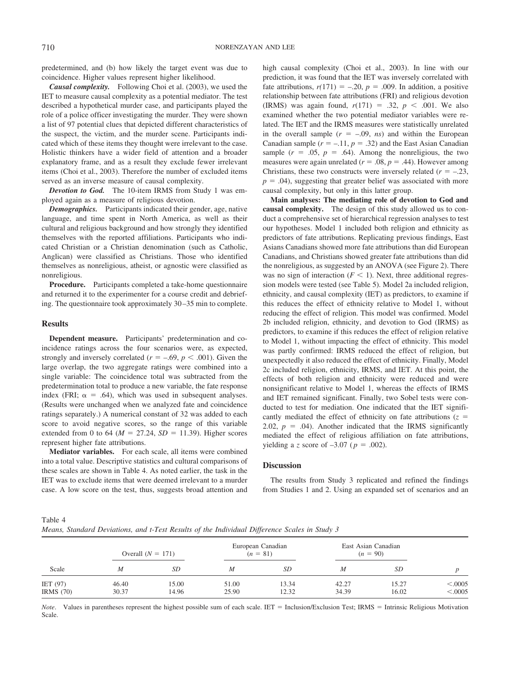predetermined, and (b) how likely the target event was due to coincidence. Higher values represent higher likelihood.

*Causal complexity.* Following Choi et al. (2003), we used the IET to measure causal complexity as a potential mediator. The test described a hypothetical murder case, and participants played the role of a police officer investigating the murder. They were shown a list of 97 potential clues that depicted different characteristics of the suspect, the victim, and the murder scene. Participants indicated which of these items they thought were irrelevant to the case. Holistic thinkers have a wider field of attention and a broader explanatory frame, and as a result they exclude fewer irrelevant items (Choi et al., 2003). Therefore the number of excluded items served as an inverse measure of causal complexity.

*Devotion to God.* The 10-item IRMS from Study 1 was employed again as a measure of religious devotion.

*Demographics.* Participants indicated their gender, age, native language, and time spent in North America, as well as their cultural and religious background and how strongly they identified themselves with the reported affiliations. Participants who indicated Christian or a Christian denomination (such as Catholic, Anglican) were classified as Christians. Those who identified themselves as nonreligious, atheist, or agnostic were classified as nonreligious.

**Procedure.** Participants completed a take-home questionnaire and returned it to the experimenter for a course credit and debriefing. The questionnaire took approximately 30–35 min to complete.

#### **Results**

**Dependent measure.** Participants' predetermination and coincidence ratings across the four scenarios were, as expected, strongly and inversely correlated ( $r = -.69$ ,  $p < .001$ ). Given the large overlap, the two aggregate ratings were combined into a single variable: The coincidence total was subtracted from the predetermination total to produce a new variable, the fate response index (FRI;  $\alpha = .64$ ), which was used in subsequent analyses. (Results were unchanged when we analyzed fate and coincidence ratings separately.) A numerical constant of 32 was added to each score to avoid negative scores, so the range of this variable extended from 0 to 64 ( $M = 27.24$ ,  $SD = 11.39$ ). Higher scores represent higher fate attributions.

**Mediator variables.** For each scale, all items were combined into a total value. Descriptive statistics and cultural comparisons of these scales are shown in Table 4. As noted earlier, the task in the IET was to exclude items that were deemed irrelevant to a murder case. A low score on the test, thus, suggests broad attention and high causal complexity (Choi et al., 2003). In line with our prediction, it was found that the IET was inversely correlated with fate attributions,  $r(171) = -.20$ ,  $p = .009$ . In addition, a positive relationship between fate attributions (FRI) and religious devotion (IRMS) was again found,  $r(171) = .32$ ,  $p < .001$ . We also examined whether the two potential mediator variables were related. The IET and the IRMS measures were statistically unrelated in the overall sample  $(r = -.09, ns)$  and within the European Canadian sample  $(r = -.11, p = .32)$  and the East Asian Canadian sample  $(r = .05, p = .64)$ . Among the nonreligious, the two measures were again unrelated ( $r = .08$ ,  $p = .44$ ). However among Christians, these two constructs were inversely related  $(r = -.23, ...)$  $p = .04$ ), suggesting that greater belief was associated with more causal complexity, but only in this latter group.

**Main analyses: The mediating role of devotion to God and causal complexity.** The design of this study allowed us to conduct a comprehensive set of hierarchical regression analyses to test our hypotheses. Model 1 included both religion and ethnicity as predictors of fate attributions. Replicating previous findings, East Asians Canadians showed more fate attributions than did European Canadians, and Christians showed greater fate attributions than did the nonreligious, as suggested by an ANOVA (see Figure 2). There was no sign of interaction  $(F < 1)$ . Next, three additional regression models were tested (see Table 5). Model 2a included religion, ethnicity, and causal complexity (IET) as predictors, to examine if this reduces the effect of ethnicity relative to Model 1, without reducing the effect of religion. This model was confirmed. Model 2b included religion, ethnicity, and devotion to God (IRMS) as predictors, to examine if this reduces the effect of religion relative to Model 1, without impacting the effect of ethnicity. This model was partly confirmed: IRMS reduced the effect of religion, but unexpectedly it also reduced the effect of ethnicity. Finally, Model 2c included religion, ethnicity, IRMS, and IET. At this point, the effects of both religion and ethnicity were reduced and were nonsignificant relative to Model 1, whereas the effects of IRMS and IET remained significant. Finally, two Sobel tests were conducted to test for mediation. One indicated that the IET significantly mediated the effect of ethnicity on fate attributions  $(z =$ 2.02,  $p = .04$ ). Another indicated that the IRMS significantly mediated the effect of religious affiliation on fate attributions, yielding a *z* score of  $-3.07$  ( $p = .002$ ).

# **Discussion**

The results from Study 3 replicated and refined the findings from Studies 1 and 2. Using an expanded set of scenarios and an

Table 4 *Means, Standard Deviations, and t-Test Results of the Individual Difference Scales in Study 3*

|                           |                | Overall $(N = 171)$ |                | European Canadian<br>$(n = 81)$ |                | East Asian Canadian<br>$(n = 90)$ |                      |  |
|---------------------------|----------------|---------------------|----------------|---------------------------------|----------------|-----------------------------------|----------------------|--|
| Scale                     | M              | SD                  | M              | SD                              | M              | SD                                |                      |  |
| IET $(97)$<br>IRMS $(70)$ | 46.40<br>30.37 | 15.00<br>14.96      | 51.00<br>25.90 | 13.34<br>12.32                  | 42.27<br>34.39 | 15.27<br>16.02                    | < 0.0005<br>< 0.0005 |  |

*Note*. Values in parentheses represent the highest possible sum of each scale. IET = Inclusion/Exclusion Test; IRMS = Intrinsic Religious Motivation Scale.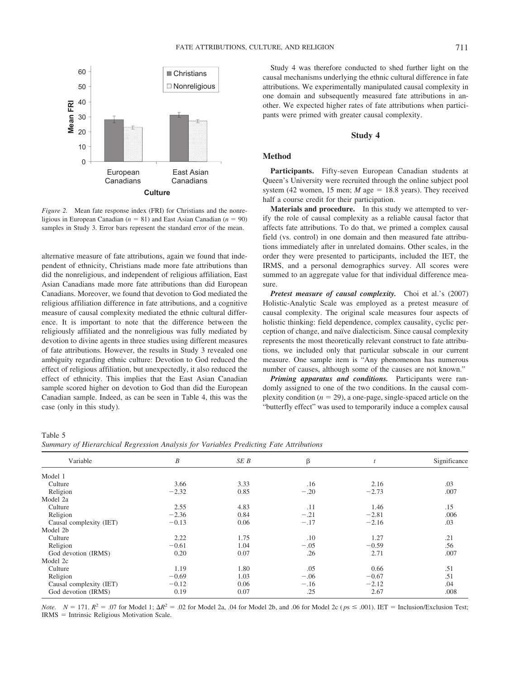

*Figure 2.* Mean fate response index (FRI) for Christians and the nonreligious in European Canadian ( $n = 81$ ) and East Asian Canadian ( $n = 90$ ) samples in Study 3. Error bars represent the standard error of the mean.

alternative measure of fate attributions, again we found that independent of ethnicity, Christians made more fate attributions than did the nonreligious, and independent of religious affiliation, East Asian Canadians made more fate attributions than did European Canadians. Moreover, we found that devotion to God mediated the religious affiliation difference in fate attributions, and a cognitive measure of causal complexity mediated the ethnic cultural difference. It is important to note that the difference between the religiously affiliated and the nonreligious was fully mediated by devotion to divine agents in three studies using different measures of fate attributions. However, the results in Study 3 revealed one ambiguity regarding ethnic culture: Devotion to God reduced the effect of religious affiliation, but unexpectedly, it also reduced the effect of ethnicity. This implies that the East Asian Canadian sample scored higher on devotion to God than did the European Canadian sample. Indeed, as can be seen in Table 4, this was the case (only in this study).

Study 4 was therefore conducted to shed further light on the causal mechanisms underlying the ethnic cultural difference in fate attributions. We experimentally manipulated causal complexity in one domain and subsequently measured fate attributions in another. We expected higher rates of fate attributions when participants were primed with greater causal complexity.

### **Study 4**

# **Method**

**Participants.** Fifty-seven European Canadian students at Queen's University were recruited through the online subject pool system (42 women, 15 men;  $M$  age  $= 18.8$  years). They received half a course credit for their participation.

**Materials and procedure.** In this study we attempted to verify the role of causal complexity as a reliable causal factor that affects fate attributions. To do that, we primed a complex causal field (vs. control) in one domain and then measured fate attributions immediately after in unrelated domains. Other scales, in the order they were presented to participants, included the IET, the IRMS, and a personal demographics survey. All scores were summed to an aggregate value for that individual difference measure.

*Pretest measure of causal complexity.* Choi et al.'s (2007) Holistic-Analytic Scale was employed as a pretest measure of causal complexity. The original scale measures four aspects of holistic thinking: field dependence, complex causality, cyclic perception of change, and naïve dialecticism. Since causal complexity represents the most theoretically relevant construct to fate attributions, we included only that particular subscale in our current measure. One sample item is "Any phenomenon has numerous number of causes, although some of the causes are not known."

*Priming apparatus and conditions.* Participants were randomly assigned to one of the two conditions. In the causal complexity condition  $(n = 29)$ , a one-page, single-spaced article on the "butterfly effect" was used to temporarily induce a complex causal

Table 5

*Summary of Hierarchical Regression Analysis for Variables Predicting Fate Attributions*

| Variable                | B       | SE B | β      |         | Significance |
|-------------------------|---------|------|--------|---------|--------------|
| Model 1                 |         |      |        |         |              |
| Culture                 | 3.66    | 3.33 | .16    | 2.16    | .03          |
| Religion                | $-2.32$ | 0.85 | $-.20$ | $-2.73$ | .007         |
| Model 2a                |         |      |        |         |              |
| Culture                 | 2.55    | 4.83 | .11    | 1.46    | .15          |
| Religion                | $-2.36$ | 0.84 | $-.21$ | $-2.81$ | .006         |
| Causal complexity (IET) | $-0.13$ | 0.06 | $-.17$ | $-2.16$ | .03          |
| Model 2b                |         |      |        |         |              |
| Culture                 | 2.22    | 1.75 | .10    | 1.27    | .21          |
| Religion                | $-0.61$ | 1.04 | $-.05$ | $-0.59$ | .56          |
| God devotion (IRMS)     | 0.20    | 0.07 | .26    | 2.71    | .007         |
| Model 2c                |         |      |        |         |              |
| Culture                 | 1.19    | 1.80 | .05    | 0.66    | .51          |
| Religion                | $-0.69$ | 1.03 | $-.06$ | $-0.67$ | .51          |
| Causal complexity (IET) | $-0.12$ | 0.06 | $-.16$ | $-2.12$ | .04          |
| God devotion (IRMS)     | 0.19    | 0.07 | .25    | 2.67    | .008         |

*Note.*  $N = 171$ .  $R^2 = .07$  for Model 1;  $\Delta R^2 = .02$  for Model 2a, .04 for Model 2b, and .06 for Model 2c ( $ps \le .001$ ). IET = Inclusion/Exclusion Test;  $IRMS = Intensive Religions Motivation Scale.$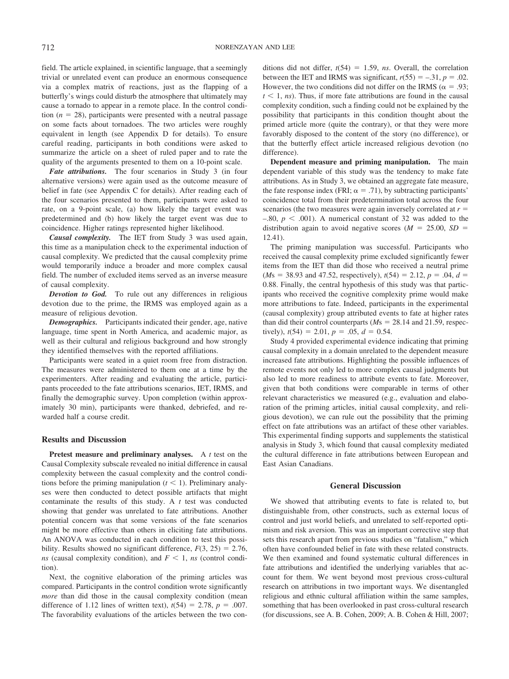field. The article explained, in scientific language, that a seemingly trivial or unrelated event can produce an enormous consequence via a complex matrix of reactions, just as the flapping of a butterfly's wings could disturb the atmosphere that ultimately may cause a tornado to appear in a remote place. In the control condition  $(n = 28)$ , participants were presented with a neutral passage on some facts about tornadoes. The two articles were roughly equivalent in length (see Appendix D for details). To ensure careful reading, participants in both conditions were asked to summarize the article on a sheet of ruled paper and to rate the quality of the arguments presented to them on a 10-point scale.

*Fate attributions.* The four scenarios in Study 3 (in four alternative versions) were again used as the outcome measure of belief in fate (see Appendix C for details). After reading each of the four scenarios presented to them, participants were asked to rate, on a 9-point scale, (a) how likely the target event was predetermined and (b) how likely the target event was due to coincidence. Higher ratings represented higher likelihood.

*Causal complexity.* The IET from Study 3 was used again, this time as a manipulation check to the experimental induction of causal complexity. We predicted that the causal complexity prime would temporarily induce a broader and more complex causal field. The number of excluded items served as an inverse measure of causal complexity.

*Devotion to God.* To rule out any differences in religious devotion due to the prime, the IRMS was employed again as a measure of religious devotion.

*Demographics.* Participants indicated their gender, age, native language, time spent in North America, and academic major, as well as their cultural and religious background and how strongly they identified themselves with the reported affiliations.

Participants were seated in a quiet room free from distraction. The measures were administered to them one at a time by the experimenters. After reading and evaluating the article, participants proceeded to the fate attributions scenarios, IET, IRMS, and finally the demographic survey. Upon completion (within approximately 30 min), participants were thanked, debriefed, and rewarded half a course credit.

# **Results and Discussion**

**Pretest measure and preliminary analyses.** A *t* test on the Causal Complexity subscale revealed no initial difference in causal complexity between the casual complexity and the control conditions before the priming manipulation  $(t < 1)$ . Preliminary analyses were then conducted to detect possible artifacts that might contaminate the results of this study. A *t* test was conducted showing that gender was unrelated to fate attributions. Another potential concern was that some versions of the fate scenarios might be more effective than others in eliciting fate attributions. An ANOVA was conducted in each condition to test this possibility. Results showed no significant difference,  $F(3, 25) = 2.76$ , *ns* (causal complexity condition), and  $F \leq 1$ , *ns* (control condition).

Next, the cognitive elaboration of the priming articles was compared. Participants in the control condition wrote significantly *more* than did those in the causal complexity condition (mean difference of 1.12 lines of written text),  $t(54) = 2.78$ ,  $p = .007$ . The favorability evaluations of the articles between the two conditions did not differ,  $t(54) = 1.59$ , *ns*. Overall, the correlation between the IET and IRMS was significant,  $r(55) = -.31$ ,  $p = .02$ . However, the two conditions did not differ on the IRMS ( $\alpha = .93$ ;  $t < 1$ , *ns*). Thus, if more fate attributions are found in the causal complexity condition, such a finding could not be explained by the possibility that participants in this condition thought about the primed article more (quite the contrary), or that they were more favorably disposed to the content of the story (no difference), or that the butterfly effect article increased religious devotion (no difference).

**Dependent measure and priming manipulation.** The main dependent variable of this study was the tendency to make fate attributions. As in Study 3, we obtained an aggregate fate measure, the fate response index (FRI;  $\alpha = .71$ ), by subtracting participants' coincidence total from their predetermination total across the four scenarios (the two measures were again inversely correlated at *r*  $-0.80, p \leq 0.001$ ). A numerical constant of 32 was added to the distribution again to avoid negative scores ( $M = 25.00$ ,  $SD =$ 12.41).

The priming manipulation was successful. Participants who received the causal complexity prime excluded significantly fewer items from the IET than did those who received a neutral prime  $(Ms = 38.93$  and 47.52, respectively),  $t(54) = 2.12$ ,  $p = .04$ ,  $d =$ 0.88. Finally, the central hypothesis of this study was that participants who received the cognitive complexity prime would make more attributions to fate. Indeed, participants in the experimental (causal complexity) group attributed events to fate at higher rates than did their control counterparts ( $Ms = 28.14$  and 21.59, respectively),  $t(54) = 2.01$ ,  $p = .05$ ,  $d = 0.54$ .

Study 4 provided experimental evidence indicating that priming causal complexity in a domain unrelated to the dependent measure increased fate attributions. Highlighting the possible influences of remote events not only led to more complex causal judgments but also led to more readiness to attribute events to fate. Moreover, given that both conditions were comparable in terms of other relevant characteristics we measured (e.g., evaluation and elaboration of the priming articles, initial causal complexity, and religious devotion), we can rule out the possibility that the priming effect on fate attributions was an artifact of these other variables. This experimental finding supports and supplements the statistical analysis in Study 3, which found that causal complexity mediated the cultural difference in fate attributions between European and East Asian Canadians.

# **General Discussion**

We showed that attributing events to fate is related to, but distinguishable from, other constructs, such as external locus of control and just world beliefs, and unrelated to self-reported optimism and risk aversion. This was an important corrective step that sets this research apart from previous studies on "fatalism," which often have confounded belief in fate with these related constructs. We then examined and found systematic cultural differences in fate attributions and identified the underlying variables that account for them. We went beyond most previous cross-cultural research on attributions in two important ways. We disentangled religious and ethnic cultural affiliation within the same samples, something that has been overlooked in past cross-cultural research (for discussions, see A. B. Cohen, 2009; A. B. Cohen & Hill, 2007;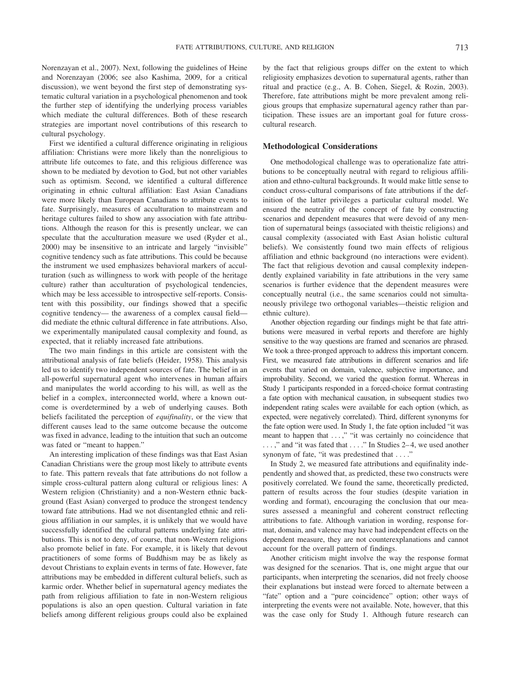Norenzayan et al., 2007). Next, following the guidelines of Heine and Norenzayan (2006; see also Kashima, 2009, for a critical discussion), we went beyond the first step of demonstrating systematic cultural variation in a psychological phenomenon and took the further step of identifying the underlying process variables which mediate the cultural differences. Both of these research strategies are important novel contributions of this research to cultural psychology.

First we identified a cultural difference originating in religious affiliation: Christians were more likely than the nonreligious to attribute life outcomes to fate, and this religious difference was shown to be mediated by devotion to God, but not other variables such as optimism. Second, we identified a cultural difference originating in ethnic cultural affiliation: East Asian Canadians were more likely than European Canadians to attribute events to fate. Surprisingly, measures of acculturation to mainstream and heritage cultures failed to show any association with fate attributions. Although the reason for this is presently unclear, we can speculate that the acculturation measure we used (Ryder et al., 2000) may be insensitive to an intricate and largely "invisible" cognitive tendency such as fate attributions. This could be because the instrument we used emphasizes behavioral markers of acculturation (such as willingness to work with people of the heritage culture) rather than acculturation of psychological tendencies, which may be less accessible to introspective self-reports. Consistent with this possibility, our findings showed that a specific cognitive tendency— the awareness of a complex causal field did mediate the ethnic cultural difference in fate attributions. Also, we experimentally manipulated causal complexity and found, as expected, that it reliably increased fate attributions.

The two main findings in this article are consistent with the attributional analysis of fate beliefs (Heider, 1958). This analysis led us to identify two independent sources of fate. The belief in an all-powerful supernatural agent who intervenes in human affairs and manipulates the world according to his will, as well as the belief in a complex, interconnected world, where a known outcome is overdetermined by a web of underlying causes. Both beliefs facilitated the perception of *equifinality*, or the view that different causes lead to the same outcome because the outcome was fixed in advance, leading to the intuition that such an outcome was fated or "meant to happen."

An interesting implication of these findings was that East Asian Canadian Christians were the group most likely to attribute events to fate. This pattern reveals that fate attributions do not follow a simple cross-cultural pattern along cultural or religious lines: A Western religion (Christianity) and a non-Western ethnic background (East Asian) converged to produce the strongest tendency toward fate attributions. Had we not disentangled ethnic and religious affiliation in our samples, it is unlikely that we would have successfully identified the cultural patterns underlying fate attributions. This is not to deny, of course, that non-Western religions also promote belief in fate. For example, it is likely that devout practitioners of some forms of Buddhism may be as likely as devout Christians to explain events in terms of fate. However, fate attributions may be embedded in different cultural beliefs, such as karmic order. Whether belief in supernatural agency mediates the path from religious affiliation to fate in non-Western religious populations is also an open question. Cultural variation in fate beliefs among different religious groups could also be explained

by the fact that religious groups differ on the extent to which religiosity emphasizes devotion to supernatural agents, rather than ritual and practice (e.g., A. B. Cohen, Siegel, & Rozin, 2003). Therefore, fate attributions might be more prevalent among religious groups that emphasize supernatural agency rather than participation. These issues are an important goal for future crosscultural research.

# **Methodological Considerations**

One methodological challenge was to operationalize fate attributions to be conceptually neutral with regard to religious affiliation and ethno-cultural backgrounds. It would make little sense to conduct cross-cultural comparisons of fate attributions if the definition of the latter privileges a particular cultural model. We ensured the neutrality of the concept of fate by constructing scenarios and dependent measures that were devoid of any mention of supernatural beings (associated with theistic religions) and causal complexity (associated with East Asian holistic cultural beliefs). We consistently found two main effects of religious affiliation and ethnic background (no interactions were evident). The fact that religious devotion and causal complexity independently explained variability in fate attributions in the very same scenarios is further evidence that the dependent measures were conceptually neutral (i.e., the same scenarios could not simultaneously privilege two orthogonal variables—theistic religion and ethnic culture).

Another objection regarding our findings might be that fate attributions were measured in verbal reports and therefore are highly sensitive to the way questions are framed and scenarios are phrased. We took a three-pronged approach to address this important concern. First, we measured fate attributions in different scenarios and life events that varied on domain, valence, subjective importance, and improbability. Second, we varied the question format. Whereas in Study 1 participants responded in a forced-choice format contrasting a fate option with mechanical causation, in subsequent studies two independent rating scales were available for each option (which, as expected, were negatively correlated). Third, different synonyms for the fate option were used. In Study 1, the fate option included "it was meant to happen that . . . ," "it was certainly no coincidence that . . . ," and "it was fated that . . . ." In Studies 2–4, we used another synonym of fate, "it was predestined that . . . ."

In Study 2, we measured fate attributions and equifinality independently and showed that, as predicted, these two constructs were positively correlated. We found the same, theoretically predicted, pattern of results across the four studies (despite variation in wording and format), encouraging the conclusion that our measures assessed a meaningful and coherent construct reflecting attributions to fate. Although variation in wording, response format, domain, and valence may have had independent effects on the dependent measure, they are not counterexplanations and cannot account for the overall pattern of findings.

Another criticism might involve the way the response format was designed for the scenarios. That is, one might argue that our participants, when interpreting the scenarios, did not freely choose their explanations but instead were forced to alternate between a "fate" option and a "pure coincidence" option; other ways of interpreting the events were not available. Note, however, that this was the case only for Study 1. Although future research can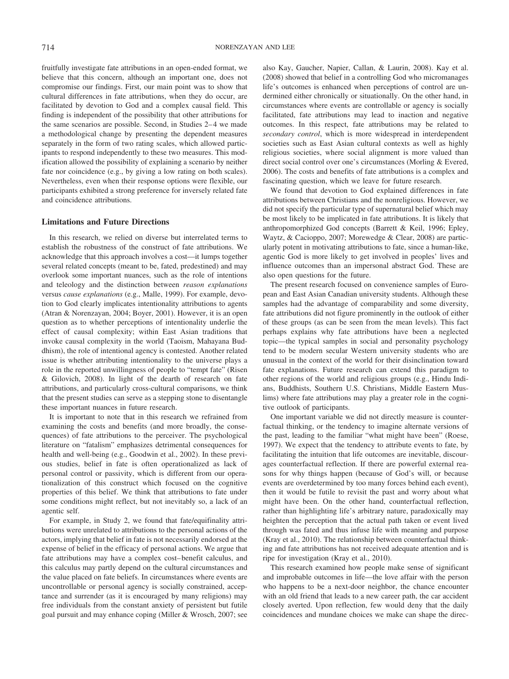fruitfully investigate fate attributions in an open-ended format, we believe that this concern, although an important one, does not compromise our findings. First, our main point was to show that cultural differences in fate attributions, when they do occur, are facilitated by devotion to God and a complex causal field. This finding is independent of the possibility that other attributions for the same scenarios are possible. Second, in Studies 2–4 we made a methodological change by presenting the dependent measures separately in the form of two rating scales, which allowed participants to respond independently to these two measures. This modification allowed the possibility of explaining a scenario by neither fate nor coincidence (e.g., by giving a low rating on both scales). Nevertheless, even when their response options were flexible, our participants exhibited a strong preference for inversely related fate and coincidence attributions.

## **Limitations and Future Directions**

In this research, we relied on diverse but interrelated terms to establish the robustness of the construct of fate attributions. We acknowledge that this approach involves a cost—it lumps together several related concepts (meant to be, fated, predestined) and may overlook some important nuances, such as the role of intentions and teleology and the distinction between *reason explanations* versus *cause explanations* (e.g., Malle, 1999). For example, devotion to God clearly implicates intentionality attributions to agents (Atran & Norenzayan, 2004; Boyer, 2001). However, it is an open question as to whether perceptions of intentionality underlie the effect of causal complexity; within East Asian traditions that invoke causal complexity in the world (Taoism, Mahayana Buddhism), the role of intentional agency is contested. Another related issue is whether attributing intentionality to the universe plays a role in the reported unwillingness of people to "tempt fate" (Risen & Gilovich, 2008). In light of the dearth of research on fate attributions, and particularly cross-cultural comparisons, we think that the present studies can serve as a stepping stone to disentangle these important nuances in future research.

It is important to note that in this research we refrained from examining the costs and benefits (and more broadly, the consequences) of fate attributions to the perceiver. The psychological literature on "fatalism" emphasizes detrimental consequences for health and well-being (e.g., Goodwin et al., 2002). In these previous studies, belief in fate is often operationalized as lack of personal control or passivity, which is different from our operationalization of this construct which focused on the cognitive properties of this belief. We think that attributions to fate under some conditions might reflect, but not inevitably so, a lack of an agentic self.

For example, in Study 2, we found that fate/equifinality attributions were unrelated to attributions to the personal actions of the actors, implying that belief in fate is not necessarily endorsed at the expense of belief in the efficacy of personal actions. We argue that fate attributions may have a complex cost–benefit calculus, and this calculus may partly depend on the cultural circumstances and the value placed on fate beliefs. In circumstances where events are uncontrollable or personal agency is socially constrained, acceptance and surrender (as it is encouraged by many religions) may free individuals from the constant anxiety of persistent but futile goal pursuit and may enhance coping (Miller & Wrosch, 2007; see also Kay, Gaucher, Napier, Callan, & Laurin, 2008). Kay et al. (2008) showed that belief in a controlling God who micromanages life's outcomes is enhanced when perceptions of control are undermined either chronically or situationally. On the other hand, in circumstances where events are controllable or agency is socially facilitated, fate attributions may lead to inaction and negative outcomes. In this respect, fate attributions may be related to *secondary control*, which is more widespread in interdependent societies such as East Asian cultural contexts as well as highly religious societies, where social alignment is more valued than direct social control over one's circumstances (Morling & Evered, 2006). The costs and benefits of fate attributions is a complex and fascinating question, which we leave for future research.

We found that devotion to God explained differences in fate attributions between Christians and the nonreligious. However, we did not specify the particular type of supernatural belief which may be most likely to be implicated in fate attributions. It is likely that anthropomorphized God concepts (Barrett & Keil, 1996; Epley, Waytz, & Cacioppo, 2007; Morewedge & Clear, 2008) are particularly potent in motivating attributions to fate, since a human-like, agentic God is more likely to get involved in peoples' lives and influence outcomes than an impersonal abstract God. These are also open questions for the future.

The present research focused on convenience samples of European and East Asian Canadian university students. Although these samples had the advantage of comparability and some diversity, fate attributions did not figure prominently in the outlook of either of these groups (as can be seen from the mean levels). This fact perhaps explains why fate attributions have been a neglected topic—the typical samples in social and personality psychology tend to be modern secular Western university students who are unusual in the context of the world for their disinclination toward fate explanations. Future research can extend this paradigm to other regions of the world and religious groups (e.g., Hindu Indians, Buddhists, Southern U.S. Christians, Middle Eastern Muslims) where fate attributions may play a greater role in the cognitive outlook of participants.

One important variable we did not directly measure is counterfactual thinking, or the tendency to imagine alternate versions of the past, leading to the familiar "what might have been" (Roese, 1997). We expect that the tendency to attribute events to fate, by facilitating the intuition that life outcomes are inevitable, discourages counterfactual reflection. If there are powerful external reasons for why things happen (because of God's will, or because events are overdetermined by too many forces behind each event), then it would be futile to revisit the past and worry about what might have been. On the other hand, counterfactual reflection, rather than highlighting life's arbitrary nature, paradoxically may heighten the perception that the actual path taken or event lived through was fated and thus infuse life with meaning and purpose (Kray et al., 2010). The relationship between counterfactual thinking and fate attributions has not received adequate attention and is ripe for investigation (Kray et al., 2010).

This research examined how people make sense of significant and improbable outcomes in life—the love affair with the person who happens to be a next-door neighbor, the chance encounter with an old friend that leads to a new career path, the car accident closely averted. Upon reflection, few would deny that the daily coincidences and mundane choices we make can shape the direc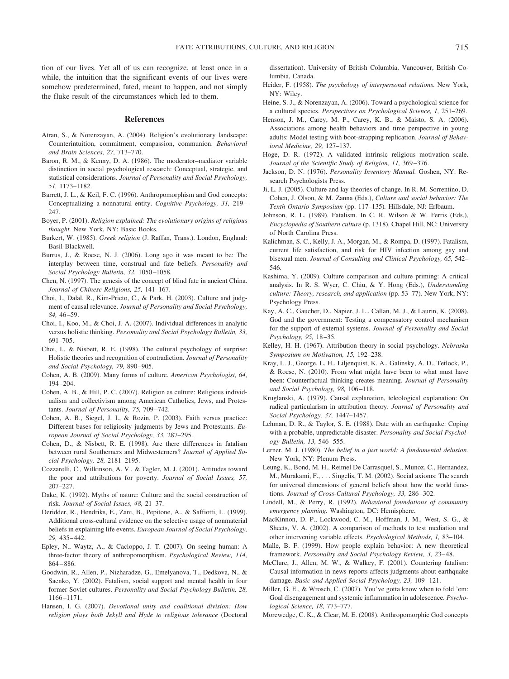tion of our lives. Yet all of us can recognize, at least once in a while, the intuition that the significant events of our lives were somehow predetermined, fated, meant to happen, and not simply the fluke result of the circumstances which led to them.

#### **References**

- Atran, S., & Norenzayan, A. (2004). Religion's evolutionary landscape: Counterintuition, commitment, compassion, communion. *Behavioral and Brain Sciences, 27,* 713–770.
- Baron, R. M., & Kenny, D. A. (1986). The moderator–mediator variable distinction in social psychological research: Conceptual, strategic, and statistical considerations. *Journal of Personality and Social Psychology, 51,* 1173–1182.
- Barrett, J. L., & Keil, F. C. (1996). Anthropomorphism and God concepts: Conceptualizing a nonnatural entity. *Cognitive Psychology, 31,* 219– 247.
- Boyer, P. (2001). *Religion explained: The evolutionary origins of religious thought.* New York, NY: Basic Books.
- Burkert, W. (1985). *Greek religion* (J. Raffan, Trans.). London, England: Basil-Blackwell.
- Burrus, J., & Roese, N. J. (2006). Long ago it was meant to be: The interplay between time, construal and fate beliefs. *Personality and Social Psychology Bulletin, 32,* 1050–1058.
- Chen, N. (1997). The genesis of the concept of blind fate in ancient China. *Journal of Chinese Religions, 25,* 141–167.
- Choi, I., Dalal, R., Kim-Prieto, C., & Park, H. (2003). Culture and judgment of causal relevance. *Journal of Personality and Social Psychology, 84,* 46–59.
- Choi, I., Koo, M., & Choi, J. A. (2007). Individual differences in analytic versus holistic thinking. *Personality and Social Psychology Bulletin, 33,* 691–705.
- Choi, I., & Nisbett, R. E. (1998). The cultural psychology of surprise: Holistic theories and recognition of contradiction. *Journal of Personality and Social Psychology, 79,* 890–905.
- Cohen, A. B. (2009). Many forms of culture. *American Psychologist, 64,* 194–204.
- Cohen, A. B., & Hill, P. C. (2007). Religion as culture: Religious individualism and collectivism among American Catholics, Jews, and Protestants. *Journal of Personality, 75,* 709–742.
- Cohen, A. B., Siegel, J. I., & Rozin, P. (2003). Faith versus practice: Different bases for religiosity judgments by Jews and Protestants. *European Journal of Social Psychology, 33,* 287–295.
- Cohen, D., & Nisbett, R. E. (1998). Are there differences in fatalism between rural Southerners and Midwesterners? *Journal of Applied Social Psychology, 28,* 2181–2195.
- Cozzarelli, C., Wilkinson, A. V., & Tagler, M. J. (2001). Attitudes toward the poor and attributions for poverty. *Journal of Social Issues, 57,* 207–227.
- Dake, K. (1992). Myths of nature: Culture and the social construction of risk. *Journal of Social Issues, 48,* 21–37.
- Deridder, R., Hendriks, E., Zani, B., Pepitone, A., & Saffiotti, L. (1999). Additional cross-cultural evidence on the selective usage of nonmaterial beliefs in explaining life events. *European Journal of Social Psychology, 29,* 435–442.
- Epley, N., Waytz, A., & Cacioppo, J. T. (2007). On seeing human: A three-factor theory of anthropomorphism. *Psychological Review, 114,* 864–886.
- Goodwin, R., Allen, P., Nizharadze, G., Emelyanova, T., Dedkova, N., & Saenko, Y. (2002). Fatalism, social support and mental health in four former Soviet cultures. *Personality and Social Psychology Bulletin, 28,* 1166–1171.
- Hansen, I. G. (2007). *Devotional unity and coalitional division: How religion plays both Jekyll and Hyde to religious tolerance* (Doctoral

dissertation). University of British Columbia, Vancouver, British Columbia, Canada.

- Heider, F. (1958). *The psychology of interpersonal relations.* New York, NY: Wiley.
- Heine, S. J., & Norenzayan, A. (2006). Toward a psychological science for a cultural species. *Perspectives on Psychological Science, 1,* 251–269.
- Henson, J. M., Carey, M. P., Carey, K. B., & Maisto, S. A. (2006). Associations among health behaviors and time perspective in young adults: Model testing with boot-strapping replication. *Journal of Behavioral Medicine, 29,* 127–137.
- Hoge, D. R. (1972). A validated intrinsic religious motivation scale. *Journal of the Scientific Study of Religion, 11,* 369–376.
- Jackson, D. N. (1976). *Personality Inventory Manual.* Goshen, NY: Research Psychologists Press.
- Ji, L. J. (2005). Culture and lay theories of change. In R. M. Sorrentino, D. Cohen, J. Olson, & M. Zanna (Eds.), *Culture and social behavior: The Tenth Ontario Symposium* (pp. 117–135)*.* Hillsdale, NJ: Erlbaum.
- Johnson, R. L. (1989). Fatalism. In C. R. Wilson & W. Ferris (Eds.), *Encyclopedia of Southern culture* (p. 1318). Chapel Hill, NC: University of North Carolina Press.
- Kalichman, S. C., Kelly, J. A., Morgan, M., & Rompa, D. (1997). Fatalism, current life satisfaction, and risk for HIV infection among gay and bisexual men. *Journal of Consulting and Clinical Psychology, 65,* 542– 546.
- Kashima, Y. (2009). Culture comparison and culture priming: A critical analysis. In R. S. Wyer, C. Chiu, & Y. Hong (Eds.), *Understanding culture: Theory, research, and application* (pp. 53–77). New York, NY: Psychology Press.
- Kay, A. C., Gaucher, D., Napier, J. L., Callan, M. J., & Laurin, K. (2008). God and the government: Testing a compensatory control mechanism for the support of external systems. *Journal of Personality and Social Psychology, 95,* 18–35.
- Kelley, H. H. (1967). Attribution theory in social psychology. *Nebraska Symposium on Motivation, 15,* 192–238.
- Kray, L. J., George, L. H., Liljenquist, K. A., Galinsky, A. D., Tetlock, P., & Roese, N. (2010). From what might have been to what must have been: Counterfactual thinking creates meaning. *Journal of Personality and Social Psychology, 98,* 106–118.
- Kruglanski, A. (1979). Causal explanation, teleological explanation: On radical particularism in attribution theory. *Journal of Personality and Social Psychology, 37,* 1447–1457.
- Lehman, D. R., & Taylor, S. E. (1988). Date with an earthquake: Coping with a probable, unpredictable disaster. *Personality and Social Psychology Bulletin, 13,* 546–555.
- Lerner, M. J. (1980). *The belief in a just world: A fundamental delusion.* New York, NY: Plenum Press.
- Leung, K., Bond, M. H., Reimel De Carrasquel, S., Munoz, C., Hernandez, M., Murakami, F., . . . Singelis, T. M. (2002). Social axioms: The search for universal dimensions of general beliefs about how the world functions. *Journal of Cross-Cultural Psychology, 33,* 286–302.
- Lindell, M., & Perry, R. (1992). *Behavioral foundations of community emergency planning.* Washington, DC: Hemisphere.
- MacKinnon, D. P., Lockwood, C. M., Hoffman, J. M., West, S. G., & Sheets, V. A. (2002). A comparison of methods to test mediation and other intervening variable effects. *Psychological Methods, 1,* 83–104.
- Malle, B. F. (1999). How people explain behavior: A new theoretical framework. *Personality and Social Psychology Review, 3,* 23–48.
- McClure, J., Allen, M. W., & Walkey, F. (2001). Countering fatalism: Causal information in news reports affects judgments about earthquake damage. *Basic and Applied Social Psychology, 23,* 109–121.
- Miller, G. E., & Wrosch, C. (2007). You've gotta know when to fold 'em: Goal disengagement and systemic inflammation in adolescence. *Psychological Science, 18,* 773–777.
- Morewedge, C. K., & Clear, M. E. (2008). Anthropomorphic God concepts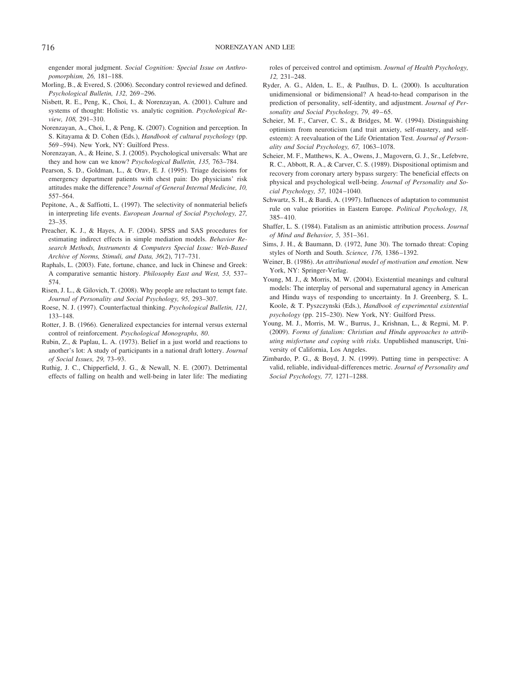engender moral judgment. *Social Cognition: Special Issue on Anthropomorphism, 26,* 181–188.

- Morling, B., & Evered, S. (2006). Secondary control reviewed and defined. *Psychological Bulletin, 132,* 269–296.
- Nisbett, R. E., Peng, K., Choi, I., & Norenzayan, A. (2001). Culture and systems of thought: Holistic vs. analytic cognition. *Psychological Review, 108,* 291–310.
- Norenzayan, A., Choi, I., & Peng, K. (2007). Cognition and perception. In S. Kitayama & D. Cohen (Eds.), *Handbook of cultural psychology* (pp. 569–594). New York, NY: Guilford Press.
- Norenzayan, A., & Heine, S. J. (2005). Psychological universals: What are they and how can we know? *Psychological Bulletin, 135,* 763–784.
- Pearson, S. D., Goldman, L., & Orav, E. J. (1995). Triage decisions for emergency department patients with chest pain: Do physicians' risk attitudes make the difference? *Journal of General Internal Medicine, 10,* 557–564.
- Pepitone, A., & Saffiotti, L. (1997). The selectivity of nonmaterial beliefs in interpreting life events. *European Journal of Social Psychology, 27,* 23–35.
- Preacher, K. J., & Hayes, A. F. (2004). SPSS and SAS procedures for estimating indirect effects in simple mediation models. *Behavior Research Methods, Instruments & Computers Special Issue: Web-Based Archive of Norms, Stimuli, and Data, 36*(2), 717–731.
- Raphals, L. (2003). Fate, fortune, chance, and luck in Chinese and Greek: A comparative semantic history. *Philosophy East and West, 53,* 537– 574.
- Risen, J. L., & Gilovich, T. (2008). Why people are reluctant to tempt fate. *Journal of Personality and Social Psychology, 95,* 293–307.
- Roese, N. J. (1997). Counterfactual thinking. *Psychological Bulletin, 121,* 133–148.
- Rotter, J. B. (1966). Generalized expectancies for internal versus external control of reinforcement. *Psychological Monographs, 80*.
- Rubin, Z., & Paplau, L. A. (1973). Belief in a just world and reactions to another's lot: A study of participants in a national draft lottery. *Journal of Social Issues, 29,* 73–93.
- Ruthig, J. C., Chipperfield, J. G., & Newall, N. E. (2007). Detrimental effects of falling on health and well-being in later life: The mediating

roles of perceived control and optimism. *Journal of Health Psychology, 12,* 231–248.

- Ryder, A. G., Alden, L. E., & Paulhus, D. L. (2000). Is acculturation unidimensional or bidimensional? A head-to-head comparison in the prediction of personality, self-identity, and adjustment. *Journal of Personality and Social Psychology, 79,* 49–65.
- Scheier, M. F., Carver, C. S., & Bridges, M. W. (1994). Distinguishing optimism from neuroticism (and trait anxiety, self-mastery, and selfesteem): A reevaluation of the Life Orientation Test. *Journal of Personality and Social Psychology, 67,* 1063–1078.
- Scheier, M. F., Matthews, K. A., Owens, J., Magovern, G. J., Sr., Lefebvre, R. C., Abbott, R. A., & Carver, C. S. (1989). Dispositional optimism and recovery from coronary artery bypass surgery: The beneficial effects on physical and psychological well-being. *Journal of Personality and Social Psychology, 57,* 1024–1040.
- Schwartz, S. H., & Bardi, A. (1997). Influences of adaptation to communist rule on value priorities in Eastern Europe. *Political Psychology, 18,* 385–410.
- Shaffer, L. S. (1984). Fatalism as an animistic attribution process. *Journal of Mind and Behavior, 5,* 351–361.
- Sims, J. H., & Baumann, D. (1972, June 30). The tornado threat: Coping styles of North and South. *Science, 176,* 1386–1392.
- Weiner, B. (1986). *An attributional model of motivation and emotion.* New York, NY: Springer-Verlag.
- Young, M. J., & Morris, M. W. (2004). Existential meanings and cultural models: The interplay of personal and supernatural agency in American and Hindu ways of responding to uncertainty. In J. Greenberg, S. L. Koole, & T. Pyszczynski (Eds.), *Handbook of experimental existential psychology* (pp. 215–230). New York, NY: Guilford Press.
- Young, M. J., Morris, M. W., Burrus, J., Krishnan, L., & Regmi, M. P. (2009). *Forms of fatalism: Christian and Hindu approaches to attributing misfortune and coping with risks.* Unpublished manuscript, University of California, Los Angeles.
- Zimbardo, P. G., & Boyd, J. N. (1999). Putting time in perspective: A valid, reliable, individual-differences metric. *Journal of Personality and Social Psychology, 77,* 1271–1288.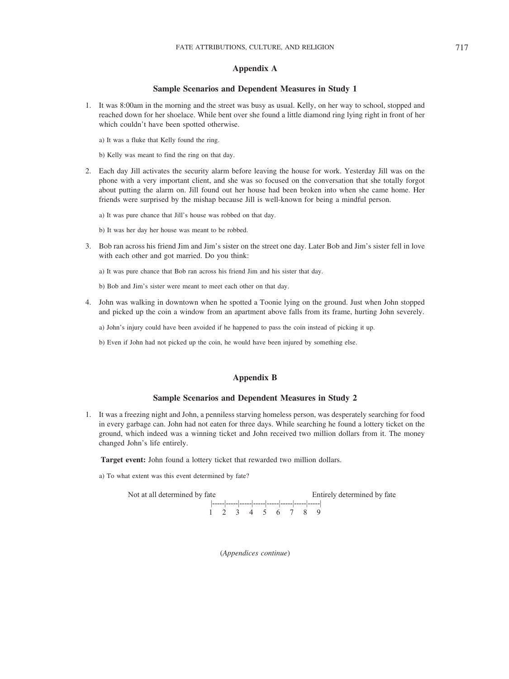# **Appendix A**

# **Sample Scenarios and Dependent Measures in Study 1**

- 1. It was 8:00am in the morning and the street was busy as usual. Kelly, on her way to school, stopped and reached down for her shoelace. While bent over she found a little diamond ring lying right in front of her which couldn't have been spotted otherwise.
	- a) It was a fluke that Kelly found the ring.
	- b) Kelly was meant to find the ring on that day.
- 2. Each day Jill activates the security alarm before leaving the house for work. Yesterday Jill was on the phone with a very important client, and she was so focused on the conversation that she totally forgot about putting the alarm on. Jill found out her house had been broken into when she came home. Her friends were surprised by the mishap because Jill is well-known for being a mindful person.

a) It was pure chance that Jill's house was robbed on that day.

b) It was her day her house was meant to be robbed.

- 3. Bob ran across his friend Jim and Jim's sister on the street one day. Later Bob and Jim's sister fell in love with each other and got married. Do you think:
	- a) It was pure chance that Bob ran across his friend Jim and his sister that day.
	- b) Bob and Jim's sister were meant to meet each other on that day.
- 4. John was walking in downtown when he spotted a Toonie lying on the ground. Just when John stopped and picked up the coin a window from an apartment above falls from its frame, hurting John severely.
	- a) John's injury could have been avoided if he happened to pass the coin instead of picking it up.
	- b) Even if John had not picked up the coin, he would have been injured by something else.

# **Appendix B**

## **Sample Scenarios and Dependent Measures in Study 2**

1. It was a freezing night and John, a penniless starving homeless person, was desperately searching for food in every garbage can. John had not eaten for three days. While searching he found a lottery ticket on the ground, which indeed was a winning ticket and John received two million dollars from it. The money changed John's life entirely.

**Target event:** John found a lottery ticket that rewarded two million dollars.

a) To what extent was this event determined by fate?

Not at all determined by fate Entirely determined by fate |-----|-----|-----|-----|-----|-----|-----|-----| 1 2 3 4 5 6 7 8 9

(*Appendices continue*)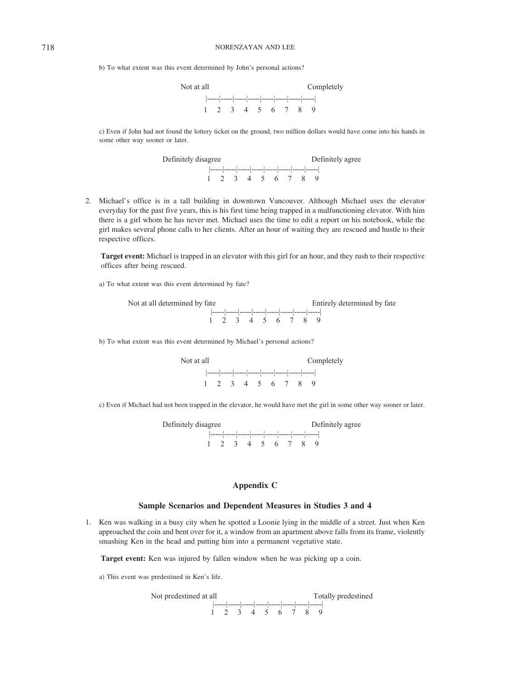#### 718 NORENZAYAN AND LEE

b) To what extent was this event determined by John's personal actions?

| Not at all |  |  |  | Completely        |  |  |  |  |
|------------|--|--|--|-------------------|--|--|--|--|
|            |  |  |  |                   |  |  |  |  |
|            |  |  |  | 1 2 3 4 5 6 7 8 9 |  |  |  |  |

c) Even if John had not found the lottery ticket on the ground, two million dollars would have come into his hands in some other way sooner or later.

| Definitely disagree |  |                   |  |  |  | Definitely agree |  |  |
|---------------------|--|-------------------|--|--|--|------------------|--|--|
|                     |  |                   |  |  |  |                  |  |  |
|                     |  | 1 2 3 4 5 6 7 8 9 |  |  |  |                  |  |  |

2. Michael's office is in a tall building in downtown Vancouver. Although Michael uses the elevator everyday for the past five years, this is his first time being trapped in a malfunctioning elevator. With him there is a girl whom he has never met. Michael uses the time to edit a report on his notebook, while the girl makes several phone calls to her clients. After an hour of waiting they are rescued and hustle to their respective offices.

**Target event:** Michael is trapped in an elevator with this girl for an hour, and they rush to their respective offices after being rescued.

a) To what extent was this event determined by fate?

| Not at all determined by fate |  |  |  |  |                   | Entirely determined by fate |
|-------------------------------|--|--|--|--|-------------------|-----------------------------|
|                               |  |  |  |  |                   |                             |
|                               |  |  |  |  | 1 2 3 4 5 6 7 8 9 |                             |

b) To what extent was this event determined by Michael's personal actions?

Not at all Completely |-----|-----|-----|-----|-----|-----|-----|-----| 1 2 3 4 5 6 7 8 9

c) Even if Michael had not been trapped in the elevator, he would have met the girl in some other way sooner or later.

Definitely disagree Definitely agree |-----|-----|-----|-----|-----|-----|-----|-----| 1 2 3 4 5 6 7 8 9

# **Appendix C**

# **Sample Scenarios and Dependent Measures in Studies 3 and 4**

1. Ken was walking in a busy city when he spotted a Loonie lying in the middle of a street. Just when Ken approached the coin and bent over for it, a window from an apartment above falls from its frame, violently smashing Ken in the head and putting him into a permanent vegetative state.

**Target event:** Ken was injured by fallen window when he was picking up a coin.

a) This event was predestined in Ken's life.

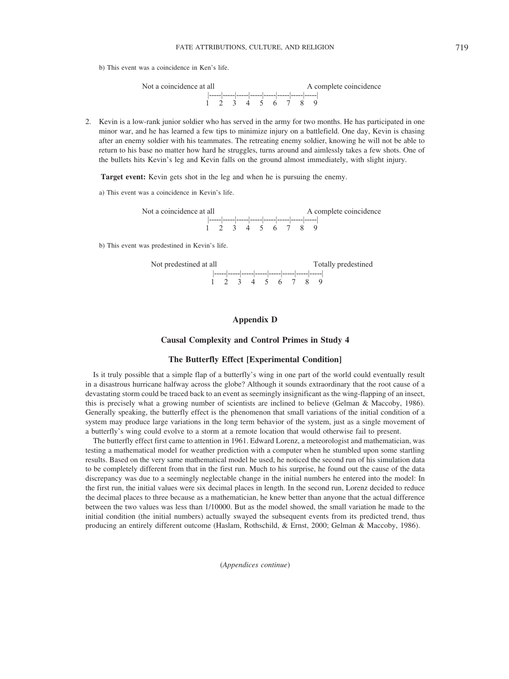b) This event was a coincidence in Ken's life.

Not a coincidence at all A complete coincidence |-----|-----|-----|-----|-----|-----|-----|-----| 1 2 3 4 5 6 7 8 9

2. Kevin is a low-rank junior soldier who has served in the army for two months. He has participated in one minor war, and he has learned a few tips to minimize injury on a battlefield. One day, Kevin is chasing after an enemy soldier with his teammates. The retreating enemy soldier, knowing he will not be able to return to his base no matter how hard he struggles, turns around and aimlessly takes a few shots. One of the bullets hits Kevin's leg and Kevin falls on the ground almost immediately, with slight injury.

**Target event:** Kevin gets shot in the leg and when he is pursuing the enemy.

a) This event was a coincidence in Kevin's life.

Not a coincidence at all A complete coincidence |-----|-----|-----|-----|-----|-----|-----|-----| 1 2 3 4 5 6 7 8 9

b) This event was predestined in Kevin's life.



# **Appendix D**

# **Causal Complexity and Control Primes in Study 4**

# **The Butterfly Effect [Experimental Condition]**

Is it truly possible that a simple flap of a butterfly's wing in one part of the world could eventually result in a disastrous hurricane halfway across the globe? Although it sounds extraordinary that the root cause of a devastating storm could be traced back to an event as seemingly insignificant as the wing-flapping of an insect, this is precisely what a growing number of scientists are inclined to believe (Gelman & Maccoby, 1986). Generally speaking, the butterfly effect is the phenomenon that small variations of the initial condition of a system may produce large variations in the long term behavior of the system, just as a single movement of a butterfly's wing could evolve to a storm at a remote location that would otherwise fail to present.

The butterfly effect first came to attention in 1961. Edward Lorenz, a meteorologist and mathematician, was testing a mathematical model for weather prediction with a computer when he stumbled upon some startling results. Based on the very same mathematical model he used, he noticed the second run of his simulation data to be completely different from that in the first run. Much to his surprise, he found out the cause of the data discrepancy was due to a seemingly neglectable change in the initial numbers he entered into the model: In the first run, the initial values were six decimal places in length. In the second run, Lorenz decided to reduce the decimal places to three because as a mathematician, he knew better than anyone that the actual difference between the two values was less than 1/10000. But as the model showed, the small variation he made to the initial condition (the initial numbers) actually swayed the subsequent events from its predicted trend, thus producing an entirely different outcome (Haslam, Rothschild, & Ernst, 2000; Gelman & Maccoby, 1986).

(*Appendices continue*)